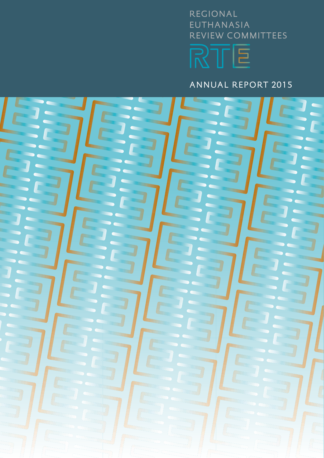# REGIONAL EUTHANASIA REVIEW COMMITTEES RTE

ANNUAL REPORT 2015

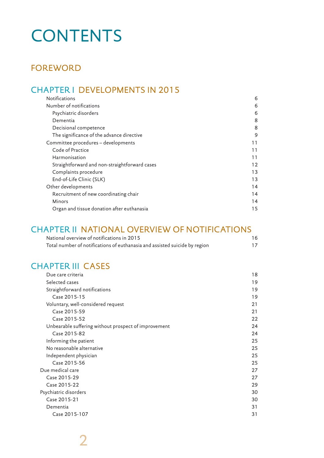# **CONTENTS**

## FOREWORD

## CHAPTER I DEVELOPMENTS IN 2015

| Number of notifications<br>6<br>Psychiatric disorders<br>6<br>8<br>Dementia<br>8<br>Decisional competence<br>The significance of the advance directive<br>9<br>Committee procedures - developments<br>11<br>Code of Practice<br>11<br>Harmonisation<br>11<br>Straightforward and non-straightforward cases<br>12<br>Complaints procedure<br>13<br>End-of-Life Clinic (SLK)<br>13<br>Other developments<br>14<br>Recruitment of new coordinating chair<br>14<br>Minors<br>14<br>Organ and tissue donation after euthanasia<br>15 | <b>Notifications</b> | 6 |
|---------------------------------------------------------------------------------------------------------------------------------------------------------------------------------------------------------------------------------------------------------------------------------------------------------------------------------------------------------------------------------------------------------------------------------------------------------------------------------------------------------------------------------|----------------------|---|
|                                                                                                                                                                                                                                                                                                                                                                                                                                                                                                                                 |                      |   |
|                                                                                                                                                                                                                                                                                                                                                                                                                                                                                                                                 |                      |   |
|                                                                                                                                                                                                                                                                                                                                                                                                                                                                                                                                 |                      |   |
|                                                                                                                                                                                                                                                                                                                                                                                                                                                                                                                                 |                      |   |
|                                                                                                                                                                                                                                                                                                                                                                                                                                                                                                                                 |                      |   |
|                                                                                                                                                                                                                                                                                                                                                                                                                                                                                                                                 |                      |   |
|                                                                                                                                                                                                                                                                                                                                                                                                                                                                                                                                 |                      |   |
|                                                                                                                                                                                                                                                                                                                                                                                                                                                                                                                                 |                      |   |
|                                                                                                                                                                                                                                                                                                                                                                                                                                                                                                                                 |                      |   |
|                                                                                                                                                                                                                                                                                                                                                                                                                                                                                                                                 |                      |   |
|                                                                                                                                                                                                                                                                                                                                                                                                                                                                                                                                 |                      |   |
|                                                                                                                                                                                                                                                                                                                                                                                                                                                                                                                                 |                      |   |
|                                                                                                                                                                                                                                                                                                                                                                                                                                                                                                                                 |                      |   |
|                                                                                                                                                                                                                                                                                                                                                                                                                                                                                                                                 |                      |   |
|                                                                                                                                                                                                                                                                                                                                                                                                                                                                                                                                 |                      |   |

## CHAPTER II NATIONAL OVERVIEW OF NOTIFICATIONS

| National overview of notifications in 2015                                 | 16 |
|----------------------------------------------------------------------------|----|
| Total number of notifications of euthanasia and assisted suicide by region | 17 |

## CHAPTER III CASES

| Due care criteria                                    | 18 |
|------------------------------------------------------|----|
| Selected cases                                       | 19 |
| Straightforward notifications                        | 19 |
| Case 2015-15                                         | 19 |
| Voluntary, well-considered request                   | 21 |
| Case 2015-59                                         | 21 |
| Case 2015-52                                         | 22 |
| Unbearable suffering without prospect of improvement | 24 |
| Case 2015-82                                         | 24 |
| Informing the patient                                | 25 |
| No reasonable alternative                            | 25 |
| Independent physician                                | 25 |
| Case 2015-56                                         | 25 |
| Due medical care                                     | 27 |
| Case 2015-29                                         | 27 |
| Case 2015-22                                         | 29 |
| Psychiatric disorders                                | 30 |
| Case 2015-21                                         | 30 |
| Dementia                                             | 31 |
| Case 2015-107                                        | 31 |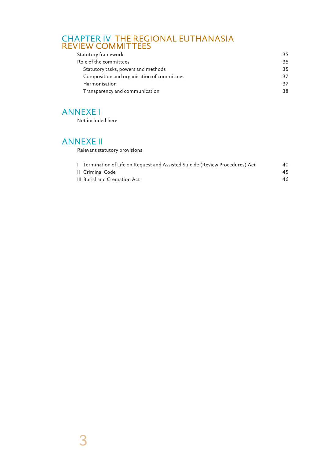## CHAPTER IV THE REGIONAL EUTHANASIA REVIEW COMMITTEES

| Statutory framework                        | 35 |
|--------------------------------------------|----|
| Role of the committees                     | 35 |
| Statutory tasks, powers and methods        | 35 |
| Composition and organisation of committees | 37 |
| Harmonisation                              | 37 |
| Transparency and communication             | 38 |
|                                            |    |

## ANNEXE I

Not included here

## ANNEXE II

Relevant statutory provisions

| 1 Termination of Life on Request and Assisted Suicide (Review Procedures) Act | 40 |
|-------------------------------------------------------------------------------|----|
| II Criminal Code                                                              | 45 |
| III Burial and Cremation Act                                                  | 46 |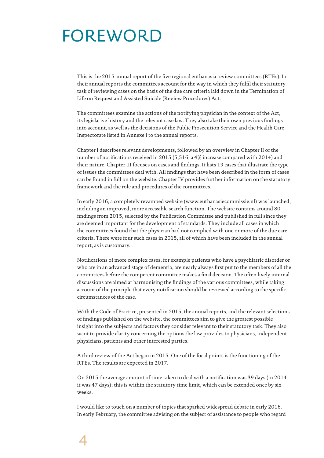# FOREWORD

This is the 2015 annual report of the five regional euthanasia review committees (RTEs). In their annual reports the committees account for the way in which they fulfil their statutory task of reviewing cases on the basis of the due care criteria laid down in the Termination of Life on Request and Assisted Suicide (Review Procedures) Act.

The committees examine the actions of the notifying physician in the context of the Act, its legislative history and the relevant case law. They also take their own previous findings into account, as well as the decisions of the Public Prosecution Service and the Health Care Inspectorate listed in Annexe I to the annual reports.

Chapter I describes relevant developments, followed by an overview in Chapter II of the number of notifications received in 2015 (5,516; a 4% increase compared with 2014) and their nature. Chapter III focuses on cases and findings. It lists 19 cases that illustrate the type of issues the committees deal with. All findings that have been described in the form of cases can be found in full on the website. Chapter IV provides further information on the statutory framework and the role and procedures of the committees.

In early 2016, a completely revamped website (www.euthanasiecommissie.nl) was launched, including an improved, more accessible search function. The website contains around 80 findings from 2015, selected by the Publication Committee and published in full since they are deemed important for the development of standards. They include all cases in which the committees found that the physician had not complied with one or more of the due care criteria. There were four such cases in 2015, all of which have been included in the annual report, as is customary.

Notifications of more complex cases, for example patients who have a psychiatric disorder or who are in an advanced stage of dementia, are nearly always first put to the members of all the committees before the competent committee makes a final decision. The often lively internal discussions are aimed at harmonising the findings of the various committees, while taking account of the principle that every notification should be reviewed according to the specific circumstances of the case.

With the Code of Practice, presented in 2015, the annual reports, and the relevant selections of findings published on the website, the committees aim to give the greatest possible insight into the subjects and factors they consider relevant to their statutory task. They also want to provide clarity concerning the options the law provides to physicians, independent physicians, patients and other interested parties.

A third review of the Act began in 2015. One of the focal points is the functioning of the RTEs. The results are expected in 2017.

On 2015 the average amount of time taken to deal with a notification was 39 days (in 2014 it was 47 days); this is within the statutory time limit, which can be extended once by six weeks.

I would like to touch on a number of topics that sparked widespread debate in early 2016. In early February, the committee advising on the subject of assistance to people who regard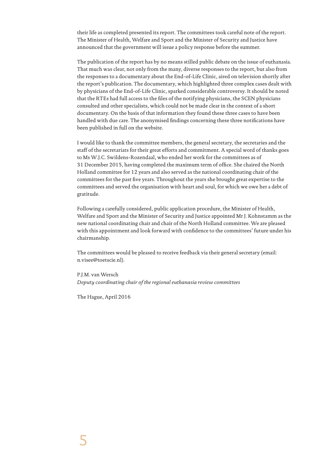their life as completed presented its report. The committees took careful note of the report. The Minister of Health, Welfare and Sport and the Minister of Security and Justice have announced that the government will issue a policy response before the summer.

The publication of the report has by no means stilled public debate on the issue of euthanasia. That much was clear, not only from the many, diverse responses to the report, but also from the responses to a documentary about the End-of-Life Clinic, aired on television shortly after the report's publication. The documentary, which highlighted three complex cases dealt with by physicians of the End-of-Life Clinic, sparked considerable controversy. It should be noted that the RTEs had full access to the files of the notifying physicians, the SCEN physicians consulted and other specialists, which could not be made clear in the context of a short documentary. On the basis of that information they found these three cases to have been handled with due care. The anonymised findings concerning these three notifications have been published in full on the website.

I would like to thank the committee members, the general secretary, the secretaries and the staff of the secretariats for their great efforts and commitment. A special word of thanks goes to Ms W.J.C. Swildens-Rozendaal, who ended her work for the committees as of 31 December 2015, having completed the maximum term of office. She chaired the North Holland committee for 12 years and also served as the national coordinating chair of the committees for the past five years. Throughout the years she brought great expertise to the committees and served the organisation with heart and soul, for which we owe her a debt of gratitude.

Following a carefully considered, public application procedure, the Minister of Health, Welfare and Sport and the Minister of Security and Justice appointed Mr J. Kohnstamm as the new national coordinating chair and chair of the North Holland committee. We are pleased with this appointment and look forward with confidence to the committees' future under his chairmanship.

The committees would be pleased to receive feedback via their general secretary (email: n.visee@toetscie.nl).

P.J.M. van Wersch *Deputy coordinating chair of the regional euthanasia review committees*

The Hague, April 2016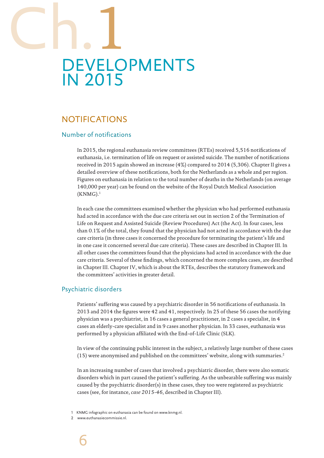# DEVELOPMENTS IN 2015 Ch.1

## NOTIFICATIONS

## Number of notifications

In 2015, the regional euthanasia review committees (RTEs) received 5,516 notifications of euthanasia, i.e. termination of life on request or assisted suicide. The number of notifications received in 2015 again showed an increase (4%) compared to 2014 (5,306). Chapter II gives a detailed overview of these notifications, both for the Netherlands as a whole and per region. Figures on euthanasia in relation to the total number of deaths in the Netherlands (on average 140,000 per year) can be found on the website of the Royal Dutch Medical Association  $(KNMG).<sup>1</sup>$ 

In each case the committees examined whether the physician who had performed euthanasia had acted in accordance with the due care criteria set out in section 2 of the Termination of Life on Request and Assisted Suicide (Review Procedures) Act (the Act). In four cases, less than 0.1% of the total, they found that the physician had not acted in accordance with the due care criteria (in three cases it concerned the procedure for terminating the patient's life and in one case it concerned several due care criteria). These cases are described in Chapter III. In all other cases the committees found that the physicians had acted in accordance with the due care criteria. Several of these findings, which concerned the more complex cases, are described in Chapter III. Chapter IV, which is about the RTEs, describes the statutory framework and the committees' activities in greater detail.

## Psychiatric disorders

Patients' suffering was caused by a psychiatric disorder in 56 notifications of euthanasia. In 2013 and 2014 the figures were 42 and 41, respectively. In 25 of these 56 cases the notifying physician was a psychiatrist, in 16 cases a general practitioner, in 2 cases a specialist, in 4 cases an elderly-care specialist and in 9 cases another physician. In 33 cases, euthanasia was performed by a physician affiliated with the End-of-Life Clinic (SLK).

In view of the continuing public interest in the subject, a relatively large number of these cases (15) were anonymised and published on the committees' website, along with summaries.2

In an increasing number of cases that involved a psychiatric disorder, there were also somatic disorders which in part caused the patient's suffering. As the unbearable suffering was mainly caused by the psychiatric disorder(s) in these cases, they too were registered as psychiatric cases (see, for instance, *case 2015-46*, described in Chapter III).

1 KNMG infographic on euthanasia can be found on www.knmg.nl.

www.euthanasiecommissie.nl.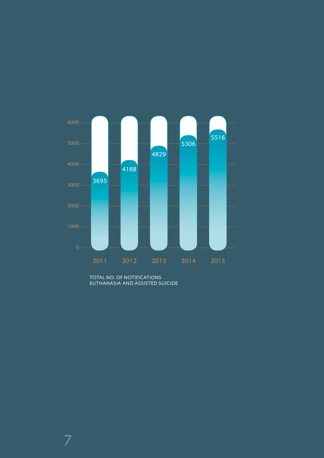

TOTAL NO. OF NOTIFICATIONS EUTHANASIA AND ASSISTED SUICIDE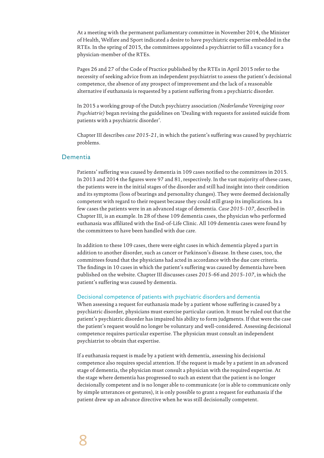At a meeting with the permanent parliamentary committee in November 2014, the Minister of Health, Welfare and Sport indicated a desire to have psychiatric expertise embedded in the RTEs. In the spring of 2015, the committees appointed a psychiatrist to fill a vacancy for a physician-member of the RTEs.

Pages 26 and 27 of the Code of Practice published by the RTEs in April 2015 refer to the necessity of seeking advice from an independent psychiatrist to assess the patient's decisional competence, the absence of any prospect of improvement and the lack of a reasonable alternative if euthanasia is requested by a patient suffering from a psychiatric disorder.

In 2015 a working group of the Dutch psychiatry association *(Nederlandse Vereniging voor Psychiatrie)* began revising the guidelines on 'Dealing with requests for assisted suicide from patients with a psychiatric disorder'.

Chapter III describes *case 2015-21*, in which the patient's suffering was caused by psychiatric problems.

#### Dementia

Patients' suffering was caused by dementia in 109 cases notified to the committees in 2015. In 2013 and 2014 the figures were 97 and 81, respectively. In the vast majority of these cases, the patients were in the initial stages of the disorder and still had insight into their condition and its symptoms (loss of bearings and personality changes). They were deemed decisionally competent with regard to their request because they could still grasp its implications. In a few cases the patients were in an advanced stage of dementia. *Case 2015-107*, described in Chapter III, is an example. In 28 of these 109 dementia cases, the physician who performed euthanasia was affiliated with the End-of-Life Clinic. All 109 dementia cases were found by the committees to have been handled with due care.

In addition to these 109 cases, there were eight cases in which dementia played a part in addition to another disorder, such as cancer or Parkinson's disease. In these cases, too, the committees found that the physicians had acted in accordance with the due care criteria. The findings in 10 cases in which the patient's suffering was caused by dementia have been published on the website. Chapter III discusses cases *2015-66* and *2015-107*, in which the patient's suffering was caused by dementia.

#### Decisional competence of patients with psychiatric disorders and dementia

When assessing a request for euthanasia made by a patient whose suffering is caused by a psychiatric disorder, physicians must exercise particular caution. It must be ruled out that the patient's psychiatric disorder has impaired his ability to form judgments. If that were the case the patient's request would no longer be voluntary and well-considered. Assessing decisional competence requires particular expertise. The physician must consult an independent psychiatrist to obtain that expertise.

If a euthanasia request is made by a patient with dementia, assessing his decisional competence also requires special attention. If the request is made by a patient in an advanced stage of dementia, the physician must consult a physician with the required expertise. At the stage where dementia has progressed to such an extent that the patient is no longer decisionally competent and is no longer able to communicate (or is able to communicate only by simple utterances or gestures), it is only possible to grant a request for euthanasia if the patient drew up an advance directive when he was still decisionally competent.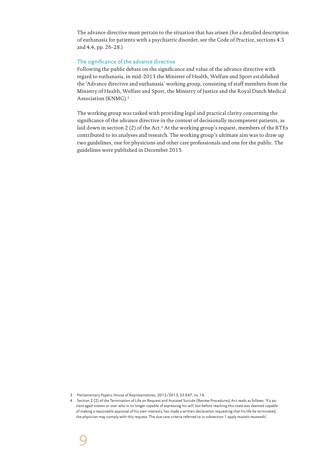The advance directive must pertain to the situation that has arisen (for a detailed description of euthanasia for patients with a psychiatric disorder, see the Code of Practice, sections 4.3 and 4.4, pp. 26-28.)

#### The significance of the advance directive

Following the public debate on the significance and value of the advance directive with regard to euthanasia, in mid-2013 the Minister of Health, Welfare and Sport established the 'Advance directive and euthanasia' working group, consisting of staff members from the Ministry of Health, Welfare and Sport, the Ministry of Justice and the Royal Dutch Medical Association (KNMG).3

The working group was tasked with providing legal and practical clarity concerning the significance of the advance directive in the context of decisionally incompetent patients, as laid down in section 2 (2) of the Act.<sup>4</sup> At the working group's request, members of the RTEs contributed to its analyses and research. The working group's ultimate aim was to draw up two guidelines, one for physicians and other care professionals and one for the public. The guidelines were published in December 2015.

<sup>3</sup> Parliamentary Papers, House of Representatives, 2012/2013, 32 647, no. 16.

<sup>4</sup> Section 2 (2) of the Termination of Life on Request and Assisted Suicide (Review Procedures) Act reads as follows: 'If a patient aged sixteen or over who is no longer capable of expressing his will, but before reaching this state was deemed capable of making a reasonable appraisal of his own interests, has made a written declaration requesting that his life be terminated, the physician may comply with this request. The due care criteria referred to in subsection 1 apply *mutatis mutandis*'.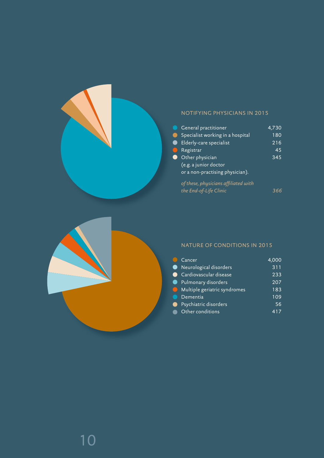

## NOTIFYING PHYSICIANS IN 2015

| General practitioner                 | 4.730 |
|--------------------------------------|-------|
| Specialist working in a hospital     | 180   |
| Elderly-care specialist              | 216   |
| Registrar                            | 45    |
| Other physician                      | 345   |
| (e.g. a junior doctor                |       |
| or a non-practising physician).      |       |
| of these, physicians affiliated with |       |
| the End-of-Life Clinic               |       |
|                                      |       |



## NATURE OF CONDITIONS IN 2015

| Cancer                       | 4,000 |
|------------------------------|-------|
| Neurological disorders       | 311   |
| Cardiovascular disease       | 233   |
| Pulmonary disorders          | 207   |
| Multiple geriatric syndromes | 183   |
| Dementia                     | 109   |
| Psychiatric disorders        | 56    |
| Other conditions             |       |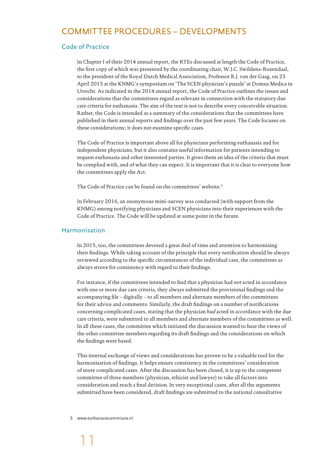## COMMITTEE PROCEDURES – DEVELOPMENTS

## Code of Practice

In Chapter I of their 2014 annual report, the RTEs discussed at length the Code of Practice, the first copy of which was presented by the coordinating chair, W.J.C. Swildens-Rozendaal, to the president of the Royal Dutch Medical Association, Professor R.J. van der Gaag, on 23 April 2015 at the KNMG's symposium on 'The SCEN physician's puzzle' at Domus Medica in Utrecht. As indicated in the 2014 annual report, the Code of Practice outlines the issues and considerations that the committees regard as relevant in connection with the statutory due care criteria for euthanasia. The aim of the text is not to describe every conceivable situation. Rather, the Code is intended as a summary of the considerations that the committees have published in their annual reports and findings over the past few years. The Code focuses on these considerations; it does not examine specific cases.

The Code of Practice is important above all for physicians performing euthanasia and for independent physicians, but it also contains useful information for patients intending to request euthanasia and other interested parties. It gives them an idea of the criteria that must be complied with, and of what they can expect. It is important that it is clear to everyone how the committees apply the Act.

The Code of Practice can be found on the committees' website.5

In February 2016, an anonymous mini-survey was conducted (with support from the KNMG) among notifying physicians and SCEN physicians into their experiences with the Code of Practice. The Code will be updated at some point in the future.

#### Harmonisation

In 2015, too, the committees devoted a great deal of time and attention to harmonising their findings. While taking account of the principle that every notification should be always reviewed according to the specific circumstances of the individual case, the committees as always strove for consistency with regard to their findings.

For instance, if the committees intended to find that a physician had *not* acted in accordance with one or more due care criteria, they always submitted the provisional findings and the accompanying file – digitally – to all members and alternate members of the committees for their advice and comments. Similarly, the draft findings on a number of notifications concerning complicated cases, stating that the physician *had* acted in accordance with the due care criteria, were submitted to all members and alternate members of the committees as well. In all these cases, the committee which initiated the discussion wanted to hear the views of the other committee members regarding its draft findings and the considerations on which the findings were based.

This internal exchange of views and considerations has proven to be a valuable tool for the harmonisation of findings. It helps ensure consistency in the committees' consideration of more complicated cases. After the discussion has been closed, it is up to the competent committee of three members (physician, ethicist and lawyer) to take all factors into consideration and reach a final decision. In very exceptional cases, after all the arguments submitted have been considered, draft findings are submitted to the national consultative

5 www.euthanasiecommissie.nl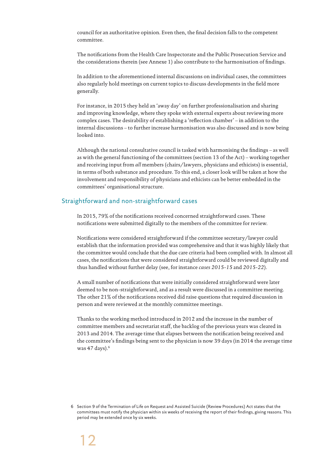council for an authoritative opinion. Even then, the final decision falls to the competent committee.

The notifications from the Health Care Inspectorate and the Public Prosecution Service and the considerations therein (see Annexe 1) also contribute to the harmonisation of findings.

In addition to the aforementioned internal discussions on individual cases, the committees also regularly hold meetings on current topics to discuss developments in the field more generally.

For instance, in 2015 they held an 'away day' on further professionalisation and sharing and improving knowledge, where they spoke with external experts about reviewing more complex cases. The desirability of establishing a 'reflection chamber' – in addition to the internal discussions – to further increase harmonisation was also discussed and is now being looked into.

Although the national consultative council is tasked with harmonising the findings – as well as with the general functioning of the committees (section 13 of the Act) – working together and receiving input from *all* members (chairs/lawyers, physicians and ethicists) is essential, in terms of both substance and procedure. To this end, a closer look will be taken at how the involvement and responsibility of physicians and ethicists can be better embedded in the committees' organisational structure.

## Straightforward and non-straightforward cases

In 2015, 79% of the notifications received concerned straightforward cases. These notifications were submitted digitally to the members of the committee for review.

Notifications were considered straightforward if the committee secretary/lawyer could establish that the information provided was comprehensive and that it was highly likely that the committee would conclude that the due care criteria had been complied with. In almost all cases, the notifications that were considered straightforward could be reviewed digitally and thus handled without further delay (see, for instance *cases 2015-15* and *2015-22*).

A small number of notifications that were initially considered straightforward were later deemed to be non-straightforward, and as a result were discussed in a committee meeting. The other 21% of the notifications received did raise questions that required discussion in person and were reviewed at the monthly committee meetings.

Thanks to the working method introduced in 2012 and the increase in the number of committee members and secretariat staff, the backlog of the previous years was cleared in 2013 and 2014. The average time that elapses between the notification being received and the committee's findings being sent to the physician is now 39 days (in 2014 the average time was 47 days).<sup>6</sup>

<sup>6</sup> Section 9 of the Termination of Life on Request and Assisted Suicide (Review Procedures) Act states that the committees must notify the physician within six weeks of receiving the report of their findings, giving reasons. This period may be extended once by six weeks.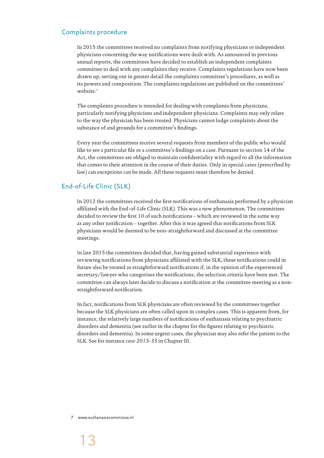## Complaints procedure

In 2015 the committees received no complaints from notifying physicians or independent physicians concerning the way notifications were dealt with. As announced in previous annual reports, the committees have decided to establish an independent complaints committee to deal with any complaints they receive. Complaints regulations have now been drawn up, setting out in greater detail the complaints committee's procedures, as well as its powers and composition. The complaints regulations are published on the committees' website.7

The complaints procedure is intended for dealing with complaints from physicians, particularly notifying physicians and independent physicians. Complaints may only relate to the way the physician has been treated. Physicians cannot lodge complaints about the substance of and grounds for a committee's findings.

Every year the committees receive several requests from members of the public who would like to see a particular file or a committee's findings on a case. Pursuant to section 14 of the Act, the committees are obliged to maintain confidentiality with regard to all the information that comes to their attention in the course of their duties. Only in special cases (prescribed by law) can exceptions can be made. All these requests must therefore be denied.

## End-of-Life Clinic (SLK)

In 2012 the committees received the first notifications of euthanasia performed by a physician affiliated with the End-of-Life Clinic (SLK). This was a new phenomenon. The committees decided to review the first 10 of such notifications – which are reviewed in the same way as any other notification – together. After this it was agreed that notifications from SLK physicians would be deemed to be non-straightforward and discussed at the committee meetings.

In late 2015 the committees decided that, having gained substantial experience with reviewing notifications from physicians affiliated with the SLK, these notifications could in future also be treated as straightforward notifications if, in the opinion of the experienced secretary/lawyer who categorises the notifications, the selection criteria have been met. The committee can always later decide to discuss a notification at the committee meeting as a nonstraightforward notification.

In fact, notifications from SLK physicians are often reviewed by the committees together because the SLK physicians are often called upon in complex cases. This is apparent from, for instance, the relatively large numbers of notifications of euthanasia relating to psychiatric disorders and dementia (see earlier in the chapter for the figures relating to psychiatric disorders and dementia). In some urgent cases, the physician may also refer the patient to the SLK. See for instance *case 2015-35* in Chapter III.

7 www.euthanasiecommissie.nl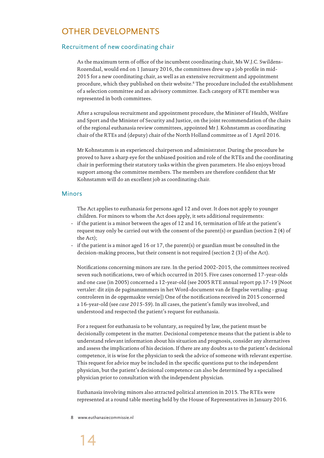## OTHER DEVELOPMENTS

## Recruitment of new coordinating chair

As the maximum term of office of the incumbent coordinating chair, Ms W.J.C. Swildens-Rozendaal, would end on 1 January 2016, the committees drew up a job profile in mid-2015 for a new coordinating chair, as well as an extensive recruitment and appointment procedure, which they published on their website.8 The procedure included the establishment of a selection committee and an advisory committee. Each category of RTE member was represented in both committees.

After a scrupulous recruitment and appointment procedure, the Minister of Health, Welfare and Sport and the Minister of Security and Justice, on the joint recommendation of the chairs of the regional euthanasia review committees, appointed Mr J. Kohnstamm as coordinating chair of the RTEs and (deputy) chair of the North Holland committee as of 1 April 2016.

Mr Kohnstamm is an experienced chairperson and administrator. During the procedure he proved to have a sharp eye for the unbiased position and role of the RTEs and the coordinating chair in performing their statutory tasks within the given parameters. He also enjoys broad support among the committee members. The members are therefore confident that Mr Kohnstamm will do an excellent job as coordinating chair.

#### Minors

The Act applies to euthanasia for persons aged 12 and over. It does not apply to younger children. For minors to whom the Act does apply, it sets additional requirements:

- if the patient is a minor between the ages of 12 and 16, termination of life at the patient's request may only be carried out with the consent of the parent(s) or guardian (section 2 (4) of the Act);
- if the patient is a minor aged 16 or 17, the parent(s) or guardian must be consulted in the decision-making process, but their consent is not required (section 2 (3) of the Act).

Notifications concerning minors are rare. In the period 2002-2015, the committees received seven such notifications, two of which occurred in 2015. Five cases concerned 17-year-olds and one case (in 2005) concerned a 12-year-old (see 2005 RTE annual report pp.17-19 [Noot vertaler: dit zijn de paginanummers in het Word-document van de Engelse vertaling - graag controleren in de opgemaakte versie]) One of the notifications received in 2015 concerned a 16-year-old (see *case 2015-59*). In all cases, the patient's family was involved, and understood and respected the patient's request for euthanasia.

For a request for euthanasia to be voluntary, as required by law, the patient must be decisionally competent in the matter. Decisional competence means that the patient is able to understand relevant information about his situation and prognosis, consider any alternatives and assess the implications of his decision. If there are any doubts as to the patient's decisional competence, it is wise for the physician to seek the advice of someone with relevant expertise. This request for advice may be included in the specific questions put to the independent physician, but the patient's decisional competence can also be determined by a specialised physician prior to consultation with the independent physician.

Euthanasia involving minors also attracted political attention in 2015. The RTEs were represented at a round table meeting held by the House of Representatives in January 2016.

8 www.euthanasiecommissie.nl

## 14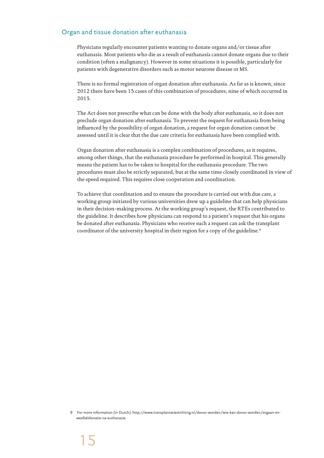## Organ and tissue donation after euthanasia

Physicians regularly encounter patients wanting to donate organs and/or tissue after euthanasia. Most patients who die as a result of euthanasia cannot donate organs due to their condition (often a malignancy). However in some situations it is possible, particularly for patients with degenerative disorders such as motor neurone disease or MS.

There is no formal registration of organ donation after euthanasia. As far as is known, since 2012 there have been 15 cases of this combination of procedures, nine of which occurred in 2015.

The Act does not prescribe what can be done with the body after euthanasia, so it does not preclude organ donation after euthanasia. To prevent the request for euthanasia from being influenced by the possibility of organ donation, a request for organ donation cannot be assessed until it is clear that the due care criteria for euthanasia have been complied with.

Organ donation after euthanasia is a complex combination of procedures, as it requires, among other things, that the euthanasia procedure be performed in hospital. This generally means the patient has to be taken to hospital for the euthanasia procedure. The two procedures must also be strictly separated, but at the same time closely coordinated in view of the speed required. This requires close cooperation and coordination.

To achieve that coordination and to ensure the procedure is carried out with due care, a working group initiated by various universities drew up a guideline that can help physicians in their decision-making process. At the working group's request, the RTEs contributed to the guideline. It describes how physicians can respond to a patient's request that his organs be donated after euthanasia. Physicians who receive such a request can ask the transplant coordinator of the university hospital in their region for a copy of the guideline.<sup>9</sup>

<sup>9</sup> For more information (in Dutch): http://www.transplantatiestichting.nl/donor-worden/wie-kan-donor-worden/orgaan-enweefseldonatie-na-euthanasie.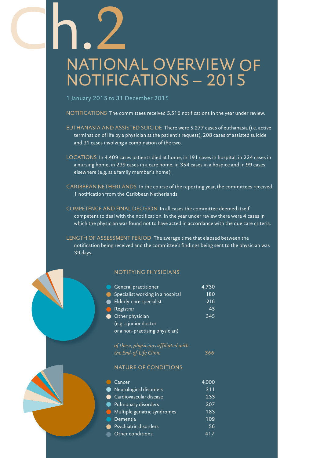# Ch.2 NATIONAL OVERVIEW OF NOTIFICATIONS – 2015

1 January 2015 to 31 December 2015

NOTIFICATIONS The committees received 5,516 notifications in the year under review.

- EUTHANASIA AND ASSISTED SUICIDE There were 5,277 cases of euthanasia (i.e. active termination of life by a physician at the patient's request), 208 cases of assisted suicide and 31 cases involving a combination of the two.
- LOCATIONS In 4,409 cases patients died at home, in 191 cases in hospital, in 224 cases in a nursing home, in 239 cases in a care home, in 354 cases in a hospice and in 99 cases elsewhere (e.g. at a family member's home).
- CARIBBEAN NETHERLANDS In the course of the reporting year, the committees received 1 notification from the Caribbean Netherlands.
- COMPETENCE AND FINAL DECISION In all cases the committee deemed itself competent to deal with the notification. In the year under review there were 4 cases in which the physician was found not to have acted in accordance with the due care criteria.

LENGTH OF ASSESSMENT PERIOD The average time that elapsed between the notification being received and the committee's findings being sent to the physician was 39 days.

## NOTIFYING PHYSICIANS

| General practitioner             | 4,730 |
|----------------------------------|-------|
| Specialist working in a hospital | 180   |
| Elderly-care specialist          | 216   |
| Registrar                        | 45    |
| Other physician                  | 345   |
| (e.g. a junior doctor            |       |
| or a non-practising physician)   |       |
|                                  |       |

*of these, physicians affiliated with the End-of-Life Clinic 366*

#### NATURE OF CONDITIONS

| Cancer                                                                        | 4,000 |
|-------------------------------------------------------------------------------|-------|
| Neurological disorders                                                        | 311   |
| Cardiovascular disease                                                        | 233   |
| Pulmonary disorders<br>$\bullet$                                              | 207   |
| Multiple geriatric syndromes<br>$\left( \begin{array}{c} \end{array} \right)$ | 183   |
| Dementia                                                                      | 109   |
| Psychiatric disorders                                                         | 56    |
| Other conditions                                                              |       |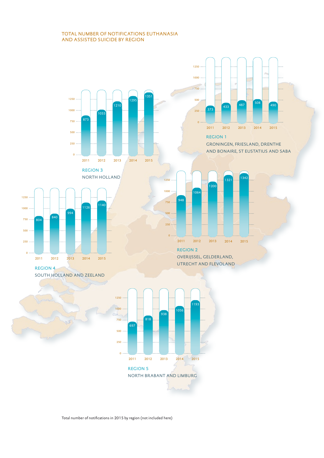#### TOTAL NUMBER OF NOTIFICATIONS EUTHANASIA AND ASSISTED SUICIDE BY REGION



Total number of notifications in 2015 by region (not included here)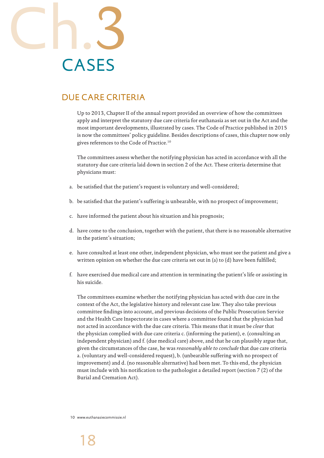

## DUE CARE CRITERIA

Up to 2013, Chapter II of the annual report provided an overview of how the committees apply and interpret the statutory due care criteria for euthanasia as set out in the Act and the most important developments, illustrated by cases. The Code of Practice published in 2015 is now the committees' policy guideline. Besides descriptions of cases, this chapter now only gives references to the Code of Practice.10

The committees assess whether the notifying physician has acted in accordance with all the statutory due care criteria laid down in section 2 of the Act. These criteria determine that physicians must:

- a. be satisfied that the patient's request is voluntary and well-considered;
- b. be satisfied that the patient's suffering is unbearable, with no prospect of improvement;
- c. have informed the patient about his situation and his prognosis;
- d. have come to the conclusion, together with the patient, that there is no reasonable alternative in the patient's situation;
- e. have consulted at least one other, independent physician, who must see the patient and give a written opinion on whether the due care criteria set out in (a) to (d) have been fulfilled;
- f. have exercised due medical care and attention in terminating the patient's life or assisting in his suicide.

The committees examine whether the notifying physician has acted with due care in the context of the Act, the legislative history and relevant case law. They also take previous committee findings into account, and previous decisions of the Public Prosecution Service and the Health Care Inspectorate in cases where a committee found that the physician had not acted in accordance with the due care criteria. This means that it must be *clear* that the physician complied with due care criteria c. (informing the patient), e. (consulting an independent physician) and f. (due medical care) above, and that he can plausibly argue that, given the circumstances of the case, he was *reasonably able to conclude* that due care criteria a. (voluntary and well-considered request), b. (unbearable suffering with no prospect of improvement) and d. (no reasonable alternative) had been met. To this end, the physician must include with his notification to the pathologist a detailed report (section 7 (2) of the Burial and Cremation Act).

10 www.euthanasiecommissie.nl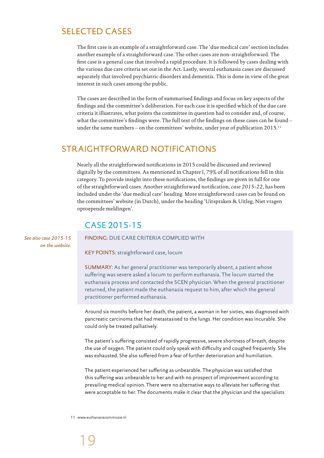## SELECTED CASES

The first case is an example of a straightforward case. The 'due medical care' section includes another example of a straightforward case. The other cases are non-straightforward. The first case is a general case that involved a rapid procedure. It is followed by cases dealing with the various due care criteria set out in the Act. Lastly, several euthanasia cases are discussed separately that involved psychiatric disorders and dementia. This is done in view of the great interest in such cases among the public.

The cases are described in the form of summarised findings and focus on key aspects of the findings and the committee's deliberation. For each case it is specified which of the due care criteria it illustrates, what points the committee in question had to consider and, of course, what the committee's findings were. The full text of the findings on these cases can be found – under the same numbers – on the committees' website, under year of publication 2015.<sup>11</sup>

## STRAIGHTFORWARD NOTIFICATIONS

Nearly all the straightforward notifications in 2015 could be discussed and reviewed digitally by the committees. As mentioned in Chapter I, 79% of all notifications fell in this category. To provide insight into these notifications, the findings are given in full for one of the straightforward cases. Another straightforward notification, *case 2015-22*, has been included under the 'due medical care' heading. More straightforward cases can be found on the committees' website (in Dutch), under the heading 'Uitspraken & Uitleg, Niet vragen oproepende meldingen'.

## CASE 2015-15

FINDING: DUE CARE CRITERIA COMPLIED WITH

KEY POINTS: straightforward case, locum

SUMMARY: As her general practitioner was temporarily absent, a patient whose suffering was severe asked a locum to perform euthanasia. The locum started the euthanasia process and contacted the SCEN physician. When the general practitioner returned, the patient made the euthanasia request to him, after which the general practitioner performed euthanasia.

Around six months before her death, the patient, a woman in her sixties, was diagnosed with pancreatic carcinoma that had metastasised to the lungs. Her condition was incurable. She could only be treated palliatively.

The patient's suffering consisted of rapidly progressive, severe shortness of breath, despite the use of oxygen. The patient could only speak with difficulty and coughed frequently. She was exhausted. She also suffered from a fear of further deterioration and humiliation.

The patient experienced her suffering as unbearable. The physician was satisfied that this suffering was unbearable to her and with no prospect of improvement according to prevailing medical opinion. There were no alternative ways to alleviate her suffering that were acceptable to her. The documents make it clear that the physician and the specialists

11 www.euthanasiecommissie.nl

*See also case 2015-15 on the website.*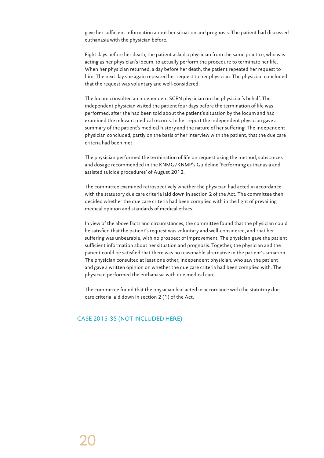gave her sufficient information about her situation and prognosis. The patient had discussed euthanasia with the physician before.

Eight days before her death, the patient asked a physician from the same practice, who was acting as her physician's locum, to actually perform the procedure to terminate her life. When her physician returned, a day before her death, the patient repeated her request to him. The next day she again repeated her request to her physician. The physician concluded that the request was voluntary and well-considered.

The locum consulted an independent SCEN physician on the physician's behalf. The independent physician visited the patient four days before the termination of life was performed, after she had been told about the patient's situation by the locum and had examined the relevant medical records. In her report the independent physician gave a summary of the patient's medical history and the nature of her suffering. The independent physician concluded, partly on the basis of her interview with the patient, that the due care criteria had been met.

The physician performed the termination of life on request using the method, substances and dosage recommended in the KNMG/KNMP's Guideline 'Performing euthanasia and assisted suicide procedures' of August 2012.

The committee examined retrospectively whether the physician had acted in accordance with the statutory due care criteria laid down in section 2 of the Act. The committee then decided whether the due care criteria had been complied with in the light of prevailing medical opinion and standards of medical ethics.

In view of the above facts and circumstances, the committee found that the physician could be satisfied that the patient's request was voluntary and well-considered, and that her suffering was unbearable, with no prospect of improvement. The physician gave the patient sufficient information about her situation and prognosis. Together, the physician and the patient could be satisfied that there was no reasonable alternative in the patient's situation. The physician consulted at least one other, independent physician, who saw the patient and gave a written opinion on whether the due care criteria had been complied with. The physician performed the euthanasia with due medical care.

The committee found that the physician had acted in accordance with the statutory due care criteria laid down in section 2 (1) of the Act.

## CASE 2015-35 (NOT INCLUDED HERE)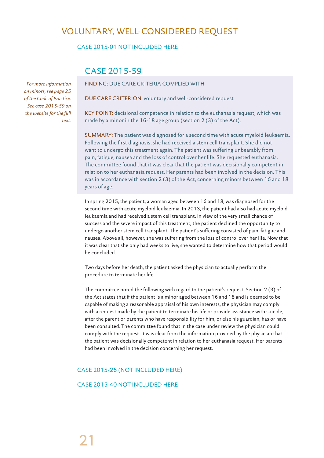## VOLUNTARY, WELL-CONSIDERED REQUEST

## CASE 2015-01 NOT INCLUDED HERE

## CASE 2015-59

FINDING: DUE CARE CRITERIA COMPLIED WITH

DUE CARE CRITERION: voluntary and well-considered request

KEY POINT: decisional competence in relation to the euthanasia request, which was made by a minor in the 16-18 age group (section 2 (3) of the Act).

SUMMARY: The patient was diagnosed for a second time with acute myeloid leukaemia. Following the first diagnosis, she had received a stem cell transplant. She did not want to undergo this treatment again. The patient was suffering unbearably from pain, fatigue, nausea and the loss of control over her life. She requested euthanasia. The committee found that it was clear that the patient was decisionally competent in relation to her euthanasia request. Her parents had been involved in the decision. This was in accordance with section 2 (3) of the Act, concerning minors between 16 and 18 years of age.

In spring 2015, the patient, a woman aged between 16 and 18, was diagnosed for the second time with acute myeloid leukaemia. In 2013, the patient had also had acute myeloid leukaemia and had received a stem cell transplant. In view of the very small chance of success and the severe impact of this treatment, the patient declined the opportunity to undergo another stem cell transplant. The patient's suffering consisted of pain, fatigue and nausea. Above all, however, she was suffering from the loss of control over her life. Now that it was clear that she only had weeks to live, she wanted to determine how that period would be concluded.

Two days before her death, the patient asked the physician to actually perform the procedure to terminate her life.

The committee noted the following with regard to the patient's request. Section 2 (3) of the Act states that if the patient is a minor aged between 16 and 18 and is deemed to be capable of making a reasonable appraisal of his own interests, the physician may comply with a request made by the patient to terminate his life or provide assistance with suicide, after the parent or parents who have responsibility for him, or else his guardian, has or have been consulted. The committee found that in the case under review the physician could comply with the request. It was clear from the information provided by the physician that the patient was decisionally competent in relation to her euthanasia request. Her parents had been involved in the decision concerning her request.

## CASE 2015-26 (NOT INCLUDED HERE)

CASE 2015-40 NOT INCLUDED HERE

*For more information on minors, see page 25 of the Code of Practice. See case 2015-59 on the website for the full text.*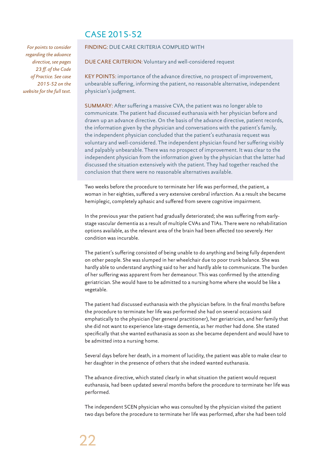## CASE 2015-52

*For points to consider regarding the advance directive, see pages 23 ff. of the Code of Practice. See case 2015-52 on the website for the full text.* 

#### FINDING: DUE CARE CRITERIA COMPLIED WITH

DUE CARE CRITERION: Voluntary and well-considered request

KEY POINTS: importance of the advance directive, no prospect of improvement, unbearable suffering, informing the patient, no reasonable alternative, independent physician's judgment.

SUMMARY: After suffering a massive CVA, the patient was no longer able to communicate. The patient had discussed euthanasia with her physician before and drawn up an advance directive. On the basis of the advance directive, patient records, the information given by the physician and conversations with the patient's family, the independent physician concluded that the patient's euthanasia request was voluntary and well-considered. The independent physician found her suffering visibly and palpably unbearable. There was no prospect of improvement. It was clear to the independent physician from the information given by the physician that the latter had discussed the situation extensively with the patient. They had together reached the conclusion that there were no reasonable alternatives available.

Two weeks before the procedure to terminate her life was performed, the patient, a woman in her eighties, suffered a very extensive cerebral infarction. As a result she became hemiplegic, completely aphasic and suffered from severe cognitive impairment.

In the previous year the patient had gradually deteriorated; she was suffering from earlystage vascular dementia as a result of multiple CVAs and TIAs. There were no rehabilitation options available, as the relevant area of the brain had been affected too severely. Her condition was incurable.

The patient's suffering consisted of being unable to do anything and being fully dependent on other people. She was slumped in her wheelchair due to poor trunk balance. She was hardly able to understand anything said to her and hardly able to communicate. The burden of her suffering was apparent from her demeanour. This was confirmed by the attending geriatrician. She would have to be admitted to a nursing home where she would be like a vegetable.

The patient had discussed euthanasia with the physician before. In the final months before the procedure to terminate her life was performed she had on several occasions said emphatically to the physician (her general practitioner), her geriatrician, and her family that she did not want to experience late-stage dementia, as her mother had done. She stated specifically that she wanted euthanasia as soon as she became dependent and would have to be admitted into a nursing home.

Several days before her death, in a moment of lucidity, the patient was able to make clear to her daughter in the presence of others that she indeed wanted euthanasia.

The advance directive, which stated clearly in what situation the patient would request euthanasia, had been updated several months before the procedure to terminate her life was performed.

The independent SCEN physician who was consulted by the physician visited the patient two days before the procedure to terminate her life was performed, after she had been told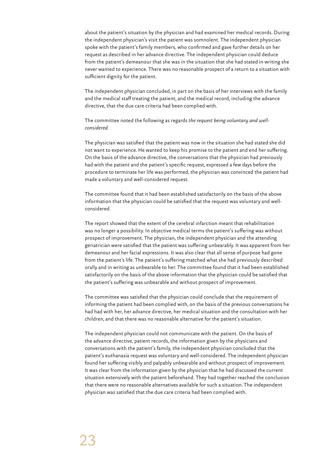about the patient's situation by the physician and had examined her medical records. During the independent physician's visit the patient was somnolent. The independent physician spoke with the patient's family members, who confirmed and gave further details on her request as described in her advance directive. The independent physician could deduce from the patient's demeanour that she was in the situation that she had stated in writing she never wanted to experience. There was no reasonable prospect of a return to a situation with sufficient dignity for the patient.

The independent physician concluded, in part on the basis of her interviews with the family and the medical staff treating the patient, and the medical record, including the advance directive, that the due care criteria had been complied with.

The committee noted the following as regards *the request being voluntary and wellconsidered*.

The physician was satisfied that the patient was now in the situation she had stated she did not want to experience. He wanted to keep his promise to the patient and end her suffering. On the basis of the advance directive, the conversations that the physician had previously had with the patient and the patient's specific request, expressed a few days before the procedure to terminate her life was performed, the physician was convinced the patient had made a voluntary and well-considered request.

The committee found that it had been established satisfactorily on the basis of the above information that the physician could be satisfied that the request was voluntary and wellconsidered.

The report showed that the extent of the cerebral infarction meant that rehabilitation was no longer a possibility. In objective medical terms the patient's suffering was without prospect of improvement. The physician, the independent physician and the attending geriatrician were satisfied that the patient was suffering unbearably. It was apparent from her demeanour and her facial expressions. It was also clear that all sense of purpose had gone from the patient's life. The patient's suffering matched what she had previously described orally and in writing as unbearable to her. The committee found that it had been established satisfactorily on the basis of the above information that the physician could be satisfied that the patient's suffering was unbearable and without prospect of improvement.

The committee was satisfied that the physician could conclude that the requirement of informing the patient had been complied with, on the basis of the previous conversations he had had with her, her advance directive, her medical situation and the consultation with her children, and that there was no reasonable alternative for the patient's situation.

The independent physician could not communicate with the patient. On the basis of the advance directive, patient records, the information given by the physicians and conversations with the patient's family, the independent physician concluded that the patient's euthanasia request was voluntary and well-considered. The independent physician found her suffering visibly and palpably unbearable and without prospect of improvement. It was clear from the information given by the physician that he had discussed the current situation extensively with the patient beforehand. They had together reached the conclusion that there were no reasonable alternatives available for such a situation. The independent physician was satisfied that the due care criteria had been complied with.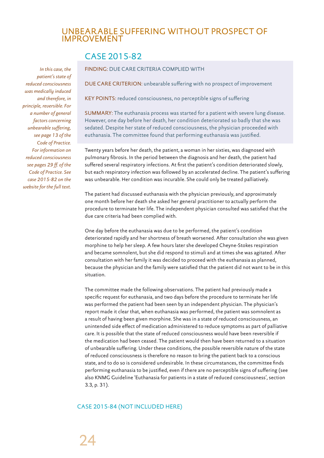## UNBEARABLE SUFFERING WITHOUT PROSPECT OF IMPROVEMENT

## CASE 2015-82

*In this case, the patient's state of reduced consciousness was medically induced and therefore, in principle, reversible. For a number of general factors concerning unbearable suffering, see page 13 of the Code of Practice. For information on reduced consciousness see pages 29 ff. of the Code of Practice. See case 2015-82 on the website for the full text.*

#### FINDING: DUE CARE CRITERIA COMPLIED WITH

DUE CARE CRITERION: unbearable suffering with no prospect of improvement

KEY POINTS: reduced consciousness, no perceptible signs of suffering

SUMMARY: The euthanasia process was started for a patient with severe lung disease. However, one day before her death, her condition deteriorated so badly that she was sedated. Despite her state of reduced consciousness, the physician proceeded with euthanasia. The committee found that performing euthanasia was justified.

Twenty years before her death, the patient, a woman in her sixties, was diagnosed with pulmonary fibrosis. In the period between the diagnosis and her death, the patient had suffered several respiratory infections. At first the patient's condition deteriorated slowly, but each respiratory infection was followed by an accelerated decline. The patient's suffering was unbearable. Her condition was incurable. She could only be treated palliatively.

The patient had discussed euthanasia with the physician previously, and approximately one month before her death she asked her general practitioner to actually perform the procedure to terminate her life. The independent physician consulted was satisfied that the due care criteria had been complied with.

One day before the euthanasia was due to be performed, the patient's condition deteriorated rapidly and her shortness of breath worsened. After consultation she was given morphine to help her sleep. A few hours later she developed Cheyne-Stokes respiration and became somnolent, but she did respond to stimuli and at times she was agitated. After consultation with her family it was decided to proceed with the euthanasia as planned, because the physician and the family were satisfied that the patient did not want to be in this situation.

The committee made the following observations. The patient had previously made a specific request for euthanasia, and two days before the procedure to terminate her life was performed the patient had been seen by an independent physician. The physician's report made it clear that, when euthanasia was performed, the patient was somnolent as a result of having been given morphine. She was in a state of reduced consciousness, an unintended side effect of medication administered to reduce symptoms as part of palliative care. It is possible that the state of reduced consciousness would have been reversible if the medication had been ceased. The patient would then have been returned to a situation of unbearable suffering. Under these conditions, the possible reversible nature of the state of reduced consciousness is therefore no reason to bring the patient back to a conscious state, and to do so is considered undesirable. In these circumstances, the committee finds performing euthanasia to be justified, even if there are no perceptible signs of suffering (see also KNMG Guideline 'Euthanasia for patients in a state of reduced consciousness', section 3.3, p. 31).

## CASE 2015-84 (NOT INCLUDED HERE)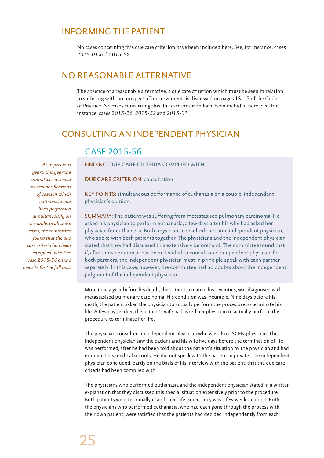## INFORMING THE PATIENT

No cases concerning this due care criterion have been included here. See, for instance, cases *2015-01* and *2015-52*.

## NO REASONABLE ALTERNATIVE

The absence of a reasonable alternative, a due care criterion which must be seen in relation to suffering with no prospect of improvement, is discussed on pages 13-15 of the Code of Practice. No cases concerning this due care criterion have been included here. See. for instance. cases *2015-26*, *2015-52* and *2015-01*.

## CONSULTING AN INDEPENDENT PHYSICIAN

## CASE 2015-56

*As in previous years, this year the committees received several notifications of cases in which euthanasia had been performed simultaneously on a couple. In all these cases, the committee found that the due care criteria had been complied with. See case 2015-56 on the website for the full text.*

## FINDING: DUE CARE CRITERIA COMPLIED WITH

DUE CARE CRITERION: consultation

KEY POINTS: simultaneous performance of euthanasia on a couple, independent physician's opinion.

SUMMARY: The patient was suffering from metastasised pulmonary carcinoma. He asked his physician to perform euthanasia, a few days after his wife had asked her physician for euthanasia. Both physicians consulted the same independent physician, who spoke with both patients together. The physicians and the independent physician stated that they had discussed this extensively beforehand. The committee found that if, after consideration, it has been decided to consult one independent physician for both partners, the independent physician must in principle speak with each partner separately. In this case, however, the committee had no doubts about the independent judgment of the independent physician.

More than a year before his death, the patient, a man in his seventies, was diagnosed with metastasised pulmonary carcinoma. His condition was incurable. Nine days before his death, the patient asked the physician to actually perform the procedure to terminate his life. A few days earlier, the patient's wife had asked her physician to actually perform the procedure to terminate her life.

The physician consulted an independent physician who was also a SCEN physician. The independent physician saw the patient and his wife five days before the termination of life was performed, after he had been told about the patient's situation by the physician and had examined his medical records. He did not speak with the patient in private. The independent physician concluded, partly on the basis of his interview with the patient, that the due care criteria had been complied with.

The physicians who performed euthanasia and the independent physician stated in a written explanation that they discussed this special situation extensively prior to the procedure. Both patients were terminally ill and their life expectancy was a few weeks at most. Both the physicians who performed euthanasia, who had each gone through the process with their own patient, were satisfied that the patients had decided independently from each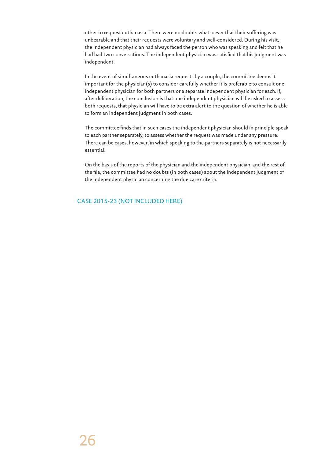other to request euthanasia. There were no doubts whatsoever that their suffering was unbearable and that their requests were voluntary and well-considered. During his visit, the independent physician had always faced the person who was speaking and felt that he had had two conversations. The independent physician was satisfied that his judgment was independent.

In the event of simultaneous euthanasia requests by a couple, the committee deems it important for the physician(s) to consider carefully whether it is preferable to consult one independent physician for both partners or a separate independent physician for each. If, after deliberation, the conclusion is that one independent physician will be asked to assess both requests, that physician will have to be extra alert to the question of whether he is able to form an independent judgment in both cases.

The committee finds that in such cases the independent physician should in principle speak to each partner separately, to assess whether the request was made under any pressure. There can be cases, however, in which speaking to the partners separately is not necessarily essential.

On the basis of the reports of the physician and the independent physician, and the rest of the file, the committee had no doubts (in both cases) about the independent judgment of the independent physician concerning the due care criteria.

## CASE 2015-23 (NOT INCLUDED HERE)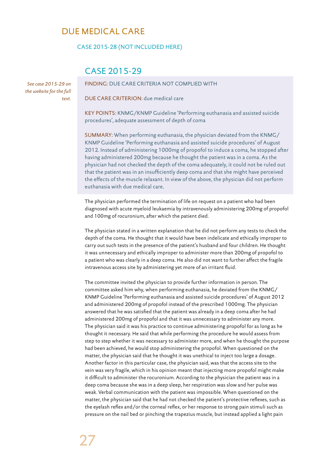## DUE MEDICAL CARE

CASE 2015-28 (NOT INCLUDED HERE)

## CASE 2015-29

*See case 2015-29 on the website for the full text.* 

FINDING: DUE CARE CRITERIA NOT COMPLIED WITH

DUE CARE CRITERION: due medical care

KEY POINTS: KNMG/KNMP Guideline 'Performing euthanasia and assisted suicide procedures', adequate assessment of depth of coma

SUMMARY: When performing euthanasia, the physician deviated from the KNMG/ KNMP Guideline 'Performing euthanasia and assisted suicide procedures' of August 2012. Instead of administering 1000mg of propofol to induce a coma, he stopped after having administered 200mg because he thought the patient was in a coma. As the physician had not checked the depth of the coma adequately, it could not be ruled out that the patient was in an insufficiently deep coma and that she might have perceived the effects of the muscle relaxant. In view of the above, the physician did not perform euthanasia with due medical care.

The physician performed the termination of life on request on a patient who had been diagnosed with acute myeloid leukaemia by intravenously administering 200mg of propofol and 100mg of rocuronium, after which the patient died.

The physician stated in a written explanation that he did not perform any tests to check the depth of the coma. He thought that it would have been indelicate and ethically improper to carry out such tests in the presence of the patient's husband and four children. He thought it was unnecessary and ethically improper to administer more than 200mg of propofol to a patient who was clearly in a deep coma. He also did not want to further affect the fragile intravenous access site by administering yet more of an irritant fluid.

The committee invited the physician to provide further information in person. The committee asked him why, when performing euthanasia, he deviated from the KNMG/ KNMP Guideline 'Performing euthanasia and assisted suicide procedures' of August 2012 and administered 200mg of propofol instead of the prescribed 1000mg. The physician answered that he was satisfied that the patient was already in a deep coma after he had administered 200mg of propofol and that it was unnecessary to administer any more. The physician said it was his practice to continue administering propofol for as long as he thought it necessary. He said that while performing the procedure he would assess from step to step whether it was necessary to administer more, and when he thought the purpose had been achieved, he would stop administering the propofol. When questioned on the matter, the physician said that he thought it was unethical to inject too large a dosage. Another factor in this particular case, the physician said, was that the access site to the vein was very fragile, which in his opinion meant that injecting more propofol might make it difficult to administer the rocuronium. According to the physician the patient was in a deep coma because she was in a deep sleep, her respiration was slow and her pulse was weak. Verbal communication with the patient was impossible. When questioned on the matter, the physician said that he had not checked the patient's protective reflexes, such as the eyelash reflex and/or the corneal reflex, or her response to strong pain stimuli such as pressure on the nail bed or pinching the trapezius muscle, but instead applied a light pain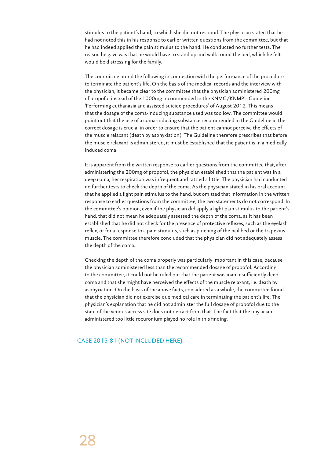stimulus to the patient's hand, to which she did not respond. The physician stated that he had not noted this in his response to earlier written questions from the committee, but that he had indeed applied the pain stimulus to the hand. He conducted no further tests. The reason he gave was that he would have to stand up and walk round the bed, which he felt would be distressing for the family.

The committee noted the following in connection with the performance of the procedure to terminate the patient's life. On the basis of the medical records and the interview with the physician, it became clear to the committee that the physician administered 200mg of propofol instead of the 1000mg recommended in the KNMG/KNMP's Guideline 'Performing euthanasia and assisted suicide procedures' of August 2012. This means that the dosage of the coma-inducing substance used was too low. The committee would point out that the use of a coma-inducing substance recommended in the Guideline in the correct dosage is crucial in order to ensure that the patient cannot perceive the effects of the muscle relaxant (death by asphyxiation). The Guideline therefore prescribes that before the muscle relaxant is administered, it must be established that the patient is in a medically induced coma.

It is apparent from the written response to earlier questions from the committee that, after administering the 200mg of propofol, the physician established that the patient was in a deep coma; her respiration was infrequent and rattled a little. The physician had conducted no further tests to check the depth of the coma. As the physician stated in his oral account that he applied a light pain stimulus to the hand, but omitted that information in the written response to earlier questions from the committee, the two statements do not correspond. In the committee's opinion, even if the physician did apply a light pain stimulus to the patient's hand, that did not mean he adequately assessed the depth of the coma, as it has been established that he did not check for the presence of protective reflexes, such as the eyelash reflex, or for a response to a pain stimulus, such as pinching of the nail bed or the trapezius muscle. The committee therefore concluded that the physician did not adequately assess the depth of the coma.

Checking the depth of the coma properly was particularly important in this case, because the physician administered less than the recommended dosage of propofol. According to the committee, it could not be ruled out that the patient was inan insufficiently deep coma and that she might have perceived the effects of the muscle relaxant, i.e. death by asphyxiation. On the basis of the above facts, considered as a whole, the committee found that the physician did not exercise due medical care in terminating the patient's life. The physician's explanation that he did not administer the full dosage of propofol due to the state of the venous access site does not detract from that. The fact that the physician administered too little rocuronium played no role in this finding.

#### CASE 2015-81 (NOT INCLUDED HERE)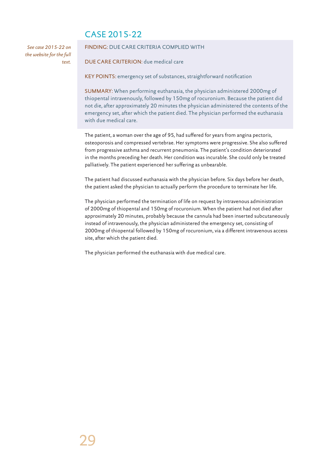## CASE 2015-22

*See case 2015-22 on the website for the full text.*

#### FINDING: DUE CARE CRITERIA COMPLIED WITH

DUE CARE CRITERION: due medical care

KEY POINTS: emergency set of substances, straightforward notification

SUMMARY: When performing euthanasia, the physician administered 2000mg of thiopental intravenously, followed by 150mg of rocuronium. Because the patient did not die, after approximately 20 minutes the physician administered the contents of the emergency set, after which the patient died. The physician performed the euthanasia with due medical care.

The patient, a woman over the age of 95, had suffered for years from angina pectoris, osteoporosis and compressed vertebrae. Her symptoms were progressive. She also suffered from progressive asthma and recurrent pneumonia. The patient's condition deteriorated in the months preceding her death. Her condition was incurable. She could only be treated palliatively. The patient experienced her suffering as unbearable.

The patient had discussed euthanasia with the physician before. Six days before her death, the patient asked the physician to actually perform the procedure to terminate her life.

The physician performed the termination of life on request by intravenous administration of 2000mg of thiopental and 150mg of rocuronium. When the patient had not died after approximately 20 minutes, probably because the cannula had been inserted subcutaneously instead of intravenously, the physician administered the emergency set, consisting of 2000mg of thiopental followed by 150mg of rocuronium, via a different intravenous access site, after which the patient died.

The physician performed the euthanasia with due medical care.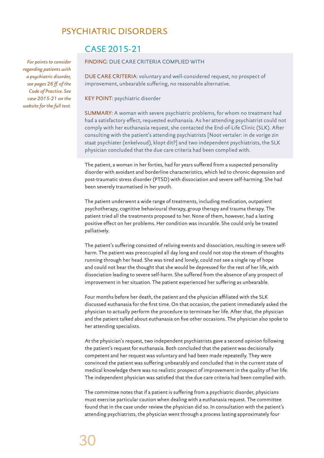## PSYCHIATRIC DISORDERS

*For points to consider regarding patients with a psychiatric disorder, see pages 26 ff. of the Code of Practice. See case 2015-21 on the website for the full text.* 

## CASE 2015-21

## FINDING: DUE CARE CRITERIA COMPLIED WITH

DUE CARE CRITERIA: voluntary and well-considered request, no prospect of improvement, unbearable suffering, no reasonable alternative.

KEY POINT: psychiatric disorder

SUMMARY: A woman with severe psychiatric problems, for whom no treatment had had a satisfactory effect, requested euthanasia. As her attending psychiatrist could not comply with her euthanasia request, she contacted the End-of-Life Clinic (SLK). After consulting with the patient's attending psychiatrists [Noot vertaler: in de vorige zin staat psychiater (enkelvoud), klopt dit?] and two independent psychiatrists, the SLK physician concluded that the due care criteria had been complied with.

The patient, a woman in her forties, had for years suffered from a suspected personality disorder with avoidant and borderline characteristics, which led to chronic depression and post-traumatic stress disorder (PTSD) with dissociation and severe self-harming. She had been severely traumatised in her youth.

The patient underwent a wide range of treatments, including medication, outpatient psychotherapy, cognitive behavioural therapy, group therapy and trauma therapy. The patient tried all the treatments proposed to her. None of them, however, had a lasting positive effect on her problems. Her condition was incurable. She could only be treated palliatively.

The patient's suffering consisted of reliving events and dissociation, resulting in severe selfharm. The patient was preoccupied all day long and could not stop the stream of thoughts running through her head. She was tired and lonely, could not see a single ray of hope and could not bear the thought that she would be depressed for the rest of her life, with dissociation leading to severe self-harm. She suffered from the absence of any prospect of improvement in her situation. The patient experienced her suffering as unbearable.

Four months before her death, the patient and the physician affiliated with the SLK discussed euthanasia for the first time. On that occasion, the patient immediately asked the physician to actually perform the procedure to terminate her life. After that, the physician and the patient talked about euthanasia on five other occasions. The physician also spoke to her attending specialists.

At the physician's request, two independent psychiatrists gave a second opinion following the patient's request for euthanasia. Both concluded that the patient was decisionally competent and her request was voluntary and had been made repeatedly. They were convinced the patient was suffering unbearably and concluded that in the current state of medical knowledge there was no realistic prospect of improvement in the quality of her life. The independent physician was satisfied that the due care criteria had been complied with.

The committee notes that if a patient is suffering from a psychiatric disorder, physicians must exercise particular caution when dealing with a euthanasia request. The committee found that in the case under review the physician did so. In consultation with the patient's attending psychiatrists, the physician went through a process lasting approximately four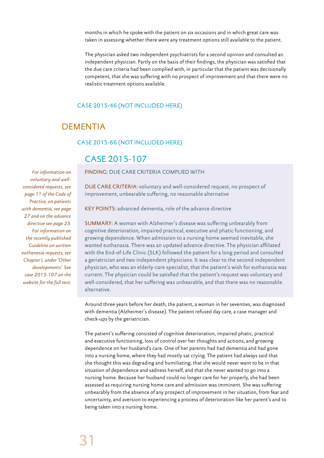months in which he spoke with the patient on six occasions and in which great care was taken in assessing whether there were any treatment options still available to the patient.

The physician asked two independent psychiatrists for a second opinion and consulted an independent physician. Partly on the basis of their findings, the physician was satisfied that the due care criteria had been complied with, in particular that the patient was decisionally competent, that she was suffering with no prospect of improvement and that there were no realistic treatment options available.

## CASE 2015-46 (NOT INCLUDED HERE)

## DEMENTIA

#### CASE 2015-66 (NOT INCLUDED HERE)

## CASE 2015-107

FINDING: DUE CARE CRITERIA COMPLIED WITH

DUE CARE CRITERIA: voluntary and well-considered request, no prospect of improvement, unbearable suffering, no reasonable alternative

KEY POINTS: advanced dementia, role of the advance directive

SUMMARY: A woman with Alzheimer's disease was suffering unbearably from cognitive deterioration, impaired practical, executive and phatic functioning, and growing dependence. When admission to a nursing home seemed inevitable, she wanted euthanasia. There was an updated advance directive. The physician affiliated with the End-of-Life Clinic (SLK) followed the patient for a long period and consulted a geriatrician and two independent physicians. It was clear to the second independent physician, who was an elderly-care specialist, that the patient's wish for euthanasia was current. The physician could be satisfied that the patient's request was voluntary and well-considered, that her suffering was unbearable, and that there was no reasonable alternative.

Around three years before her death, the patient, a woman in her seventies, was diagnosed with dementia (Alzheimer's disease). The patient refused day care, a case manager and check-ups by the geriatrician.

The patient's suffering consisted of cognitive deterioration, impaired phatic, practical and executive functioning, loss of control over her thoughts and actions, and growing dependence on her husband's care. One of her parents had had dementia and had gone into a nursing home, where they had mostly sat crying. The patient had always said that she thought this was degrading and humiliating, that she would never want to be in that situation of dependence and sadness herself, and that she never wanted to go into a nursing home. Because her husband could no longer care for her properly, she had been assessed as requiring nursing home care and admission was imminent. She was suffering unbearably from the absence of any prospect of improvement in her situation, from fear and uncertainty, and aversion to experiencing a process of deterioration like her parent's and to being taken into a nursing home.

*For information on voluntary and wellconsidered requests, see page 11 of the Code of Practice, on patients with dementia, see page 27 and on the advance directive see page 23. For information on the recently published Guideline on written euthanasia requests, see Chapter I, under 'Other developments'. See case 2015-107 on the website for the full text.*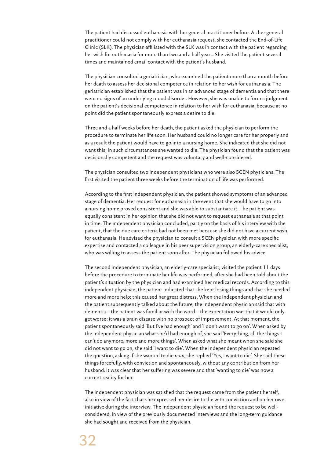The patient had discussed euthanasia with her general practitioner before. As her general practitioner could not comply with her euthanasia request, she contacted the End-of-Life Clinic (SLK). The physician affiliated with the SLK was in contact with the patient regarding her wish for euthanasia for more than two and a half years. She visited the patient several times and maintained email contact with the patient's husband.

The physician consulted a geriatrician, who examined the patient more than a month before her death to assess her decisional competence in relation to her wish for euthanasia. The geriatrician established that the patient was in an advanced stage of dementia and that there were no signs of an underlying mood disorder. However, she was unable to form a judgment on the patient's decisional competence in relation to her wish for euthanasia, because at no point did the patient spontaneously express a desire to die.

Three and a half weeks before her death, the patient asked the physician to perform the procedure to terminate her life soon. Her husband could no longer care for her properly and as a result the patient would have to go into a nursing home. She indicated that she did not want this; in such circumstances she wanted to die. The physician found that the patient was decisionally competent and the request was voluntary and well-considered.

The physician consulted two independent physicians who were also SCEN physicians. The first visited the patient three weeks before the termination of life was performed.

According to the first independent physician, the patient showed symptoms of an advanced stage of dementia. Her request for euthanasia in the event that she would have to go into a nursing home proved consistent and she was able to substantiate it. The patient was equally consistent in her opinion that she did not want to request euthanasia at that point in time. The independent physician concluded, partly on the basis of his interview with the patient, that the due care criteria had not been met because she did not have a current wish for euthanasia. He advised the physician to consult a SCEN physician with more specific expertise and contacted a colleague in his peer supervision group, an elderly-care specialist, who was willing to assess the patient soon after. The physician followed his advice.

The second independent physician, an elderly-care specialist, visited the patient 11 days before the procedure to terminate her life was performed, after she had been told about the patient's situation by the physician and had examined her medical records. According to this independent physician, the patient indicated that she kept losing things and that she needed more and more help; this caused her great distress. When the independent physician and the patient subsequently talked about the future, the independent physician said that with dementia – the patient was familiar with the word – the expectation was that it would only get worse: it was a brain disease with no prospect of improvement. At that moment, the patient spontaneously said 'But I've had enough' and 'I don't want to go on'. When asked by the independent physician what she'd had enough of, she said 'Everything, all the things I can't do anymore, more and more things'. When asked what she meant when she said she did not want to go on, she said 'I want to die'. When the independent physician repeated the question, asking if she wanted to die *now*, she replied 'Yes, I want to die'. She said these things forcefully, with conviction and spontaneously, without any contribution from her husband. It was clear that her suffering was severe and that 'wanting to die' was now a current reality for her.

The independent physician was satisfied that the request came from the patient herself, also in view of the fact that she expressed her desire to die with conviction and on her own initiative during the interview. The independent physician found the request to be wellconsidered, in view of the previously documented interviews and the long-term guidance she had sought and received from the physician.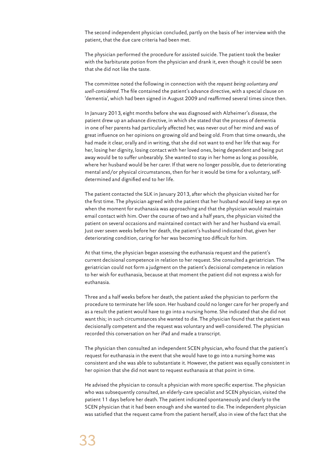The second independent physician concluded, partly on the basis of her interview with the patient, that the due care criteria had been met.

The physician performed the procedure for assisted suicide. The patient took the beaker with the barbiturate potion from the physician and drank it, even though it could be seen that she did not like the taste.

The committee noted the following in connection with the *request being voluntary and well-considered*. The file contained the patient's advance directive, with a special clause on 'dementia', which had been signed in August 2009 and reaffirmed several times since then.

In January 2013, eight months before she was diagnosed with Alzheimer's disease, the patient drew up an advance directive, in which she stated that the process of dementia in one of her parents had particularly affected her, was never out of her mind and was of great influence on her opinions on growing old and being old. From that time onwards, she had made it clear, orally and in writing, that she did not want to end her life that way. For her, losing her dignity, losing contact with her loved ones, being dependent and being put away would be to suffer unbearably. She wanted to stay in her home as long as possible, where her husband would be her carer. If that were no longer possible, due to deteriorating mental and/or physical circumstances, then for her it would be time for a voluntary, selfdetermined and dignified end to her life.

The patient contacted the SLK in January 2013, after which the physician visited her for the first time. The physician agreed with the patient that her husband would keep an eye on when the moment for euthanasia was approaching and that the physician would maintain email contact with him. Over the course of two and a half years, the physician visited the patient on several occasions and maintained contact with her and her husband via email. Just over seven weeks before her death, the patient's husband indicated that, given her deteriorating condition, caring for her was becoming too difficult for him.

At that time, the physician began assessing the euthanasia request and the patient's current decisional competence in relation to her request. She consulted a geriatrician. The geriatrician could not form a judgment on the patient's decisional competence in relation to her wish for euthanasia, because at that moment the patient did not express a wish for euthanasia.

Three and a half weeks before her death, the patient asked the physician to perform the procedure to terminate her life soon. Her husband could no longer care for her properly and as a result the patient would have to go into a nursing home. She indicated that she did not want this; in such circumstances she wanted to die. The physician found that the patient was decisionally competent and the request was voluntary and well-considered. The physician recorded this conversation on her iPad and made a transcript.

The physician then consulted an independent SCEN physician, who found that the patient's request for euthanasia in the event that she would have to go into a nursing home was consistent and she was able to substantiate it. However, the patient was equally consistent in her opinion that she did not want to request euthanasia at that point in time.

He advised the physician to consult a physician with more specific expertise. The physician who was subsequently consulted, an elderly-care specialist and SCEN physician, visited the patient 11 days before her death. The patient indicated spontaneously and clearly to the SCEN physician that it had been enough and she wanted to die. The independent physician was satisfied that the request came from the patient herself, also in view of the fact that she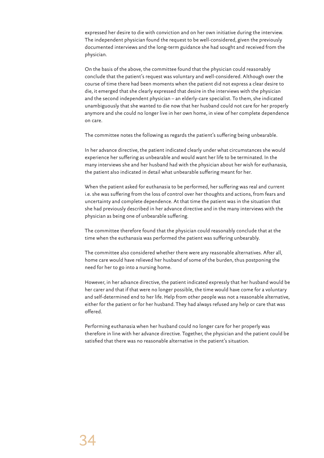expressed her desire to die with conviction and on her own initiative during the interview. The independent physician found the request to be well-considered, given the previously documented interviews and the long-term guidance she had sought and received from the physician.

On the basis of the above, the committee found that the physician could reasonably conclude that the patient's request was voluntary and well-considered. Although over the course of time there had been moments when the patient did not express a clear desire to die, it emerged that she clearly expressed that desire in the interviews with the physician and the second independent physician – an elderly-care specialist. To them, she indicated unambiguously that she wanted to die now that her husband could not care for her properly anymore and she could no longer live in her own home, in view of her complete dependence on care.

The committee notes the following as regards the patient's suffering being unbearable.

In her advance directive, the patient indicated clearly under what circumstances she would experience her suffering as unbearable and would want her life to be terminated. In the many interviews she and her husband had with the physician about her wish for euthanasia, the patient also indicated in detail what unbearable suffering meant for her.

When the patient asked for euthanasia to be performed, her suffering was real and current i.e. she was suffering from the loss of control over her thoughts and actions, from fears and uncertainty and complete dependence. At that time the patient was in the situation that she had previously described in her advance directive and in the many interviews with the physician as being one of unbearable suffering.

The committee therefore found that the physician could reasonably conclude that at the time when the euthanasia was performed the patient was suffering unbearably.

The committee also considered whether there were any reasonable alternatives. After all, home care would have relieved her husband of some of the burden, thus postponing the need for her to go into a nursing home.

However, in her advance directive, the patient indicated expressly that her husband would be her carer and that if that were no longer possible, the time would have come for a voluntary and self-determined end to her life. Help from other people was not a reasonable alternative, either for the patient or for her husband. They had always refused any help or care that was offered.

Performing euthanasia when her husband could no longer care for her properly was therefore in line with her advance directive. Together, the physician and the patient could be satisfied that there was no reasonable alternative in the patient's situation.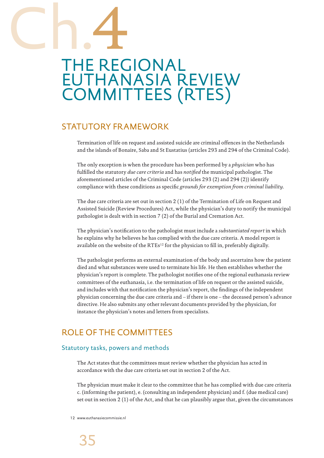# THE REGIONAL EUTHANASIA REVIEW COMMITTEES (RTES) Ch.4

## STATUTORY FRAMEWORK

Termination of life on request and assisted suicide are criminal offences in the Netherlands and the islands of Bonaire, Saba and St Eustatius (articles 293 and 294 of the Criminal Code).

The only exception is when the procedure has been performed by a *physician* who has fulfilled the statutory *due care criteria* and has *notified* the municipal pathologist. The aforementioned articles of the Criminal Code (articles 293 (2) and 294 (2)) identify compliance with these conditions as specific *grounds for exemption from criminal liability*.

The due care criteria are set out in section 2 (1) of the Termination of Life on Request and Assisted Suicide (Review Procedures) Act, while the physician's duty to notify the municipal pathologist is dealt with in section 7 (2) of the Burial and Cremation Act.

The physician's notification to the pathologist must include a *substantiated report* in which he explains why he believes he has complied with the due care criteria. A model report is available on the website of the RTEs<sup>12</sup> for the physician to fill in, preferably digitally.

The pathologist performs an external examination of the body and ascertains how the patient died and what substances were used to terminate his life. He then establishes whether the physician's report is complete. The pathologist notifies one of the regional euthanasia review committees of the euthanasia, i.e. the termination of life on request or the assisted suicide, and includes with that notification the physician's report, the findings of the independent physician concerning the due care criteria and – if there is one – the deceased person's advance directive. He also submits any other relevant documents provided by the physician, for instance the physician's notes and letters from specialists.

## ROLE OF THE COMMITTEES

## Statutory tasks, powers and methods

The Act states that the committees must review whether the physician has acted in accordance with the due care criteria set out in section 2 of the Act.

The physician must make it clear to the committee that he has complied with due care criteria c. (informing the patient), e. (consulting an independent physician) and f. (due medical care) set out in section 2 (1) of the Act, and that he can plausibly argue that, given the circumstances

12 www.euthanasiecommissie.nl

35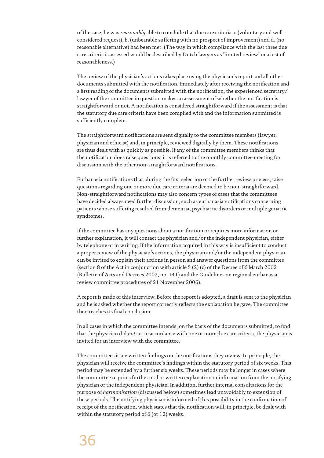of the case, he was *reasonably* able to conclude that due care criteria a. (voluntary and wellconsidered request), b. (unbearable suffering with no prospect of improvement) and d. (no reasonable alternative) had been met. (The way in which compliance with the last three due care criteria is assessed would be described by Dutch lawyers as 'limited review' or a test of reasonableness.)

The review of the physician's actions takes place using the physician's report and all other documents submitted with the notification. Immediately after receiving the notification and a first reading of the documents submitted with the notification, the experienced secretary/ lawyer of the committee in question makes an assessment of whether the notification is straightforward or not. A notification is considered straightforward if the assessment is that the statutory due care criteria have been complied with and the information submitted is sufficiently complete.

The straightforward notifications are sent digitally to the committee members (lawyer, physician and ethicist) and, in principle, reviewed digitally by them. These notifications are thus dealt with as quickly as possible. If any of the committee members thinks that the notification does raise questions, it is referred to the monthly committee meeting for discussion with the other non-straightforward notifications.

Euthanasia notifications that, during the first selection or the further review process, raise questions regarding one or more due care criteria are deemed to be non-straightforward. Non-straightforward notifications may also concern types of cases that the committees have decided always need further discussion, such as euthanasia notifications concerning patients whose suffering resulted from dementia, psychiatric disorders or multiple geriatric syndromes.

If the committee has any questions about a notification or requires more information or further explanation, it will contact the physician and/or the independent physician, either by telephone or in writing. If the information acquired in this way is insufficient to conduct a proper review of the physician's actions, the physician and/or the independent physician can be invited to explain their actions in person and answer questions from the committee (section 8 of the Act in conjunction with article 5 (2) (c) of the Decree of 6 March 2002 (Bulletin of Acts and Decrees 2002, no. 141) and the Guidelines on regional euthanasia review committee procedures of 21 November 2006).

A report is made of this interview. Before the report is adopted, a draft is sent to the physician and he is asked whether the report correctly reflects the explanation he gave. The committee then reaches its final conclusion.

In all cases in which the committee intends, on the basis of the documents submitted, to find that the physician did *not* act in accordance with one or more due care criteria, the physician is invited for an interview with the committee.

The committees issue written findings on the notifications they review. In principle, the physician will receive the committee's findings within the statutory period of six weeks. This period may be extended by a further six weeks. These periods may be longer in cases where the committee requires further oral or written explanation or information from the notifying physician or the independent physician. In addition, further internal consultations for the purpose of *harmonisation* (discussed below) sometimes lead unavoidably to extension of these periods. The notifying physician is informed of this possibility in the confirmation of receipt of the notification, which states that the notification will, in principle, be dealt with within the statutory period of 6 (or 12) weeks.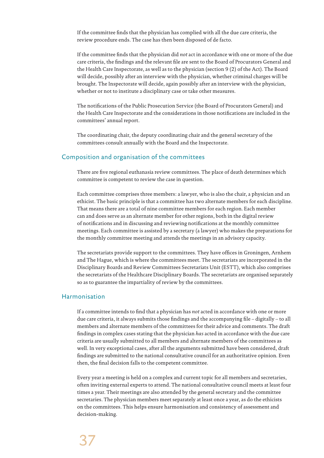If the committee finds that the physician has complied with all the due care criteria, the review procedure ends. The case has then been disposed of de facto.

If the committee finds that the physician did *not* act in accordance with one or more of the due care criteria, the findings and the relevant file are sent to the Board of Procurators General and the Health Care Inspectorate, as well as to the physician (section 9 (2) of the Act). The Board will decide, possibly after an interview with the physician, whether criminal charges will be brought. The Inspectorate will decide, again possibly after an interview with the physician, whether or not to institute a disciplinary case or take other measures.

The notifications of the Public Prosecution Service (the Board of Procurators General) and the Health Care Inspectorate and the considerations in those notifications are included in the committees' annual report.

The coordinating chair, the deputy coordinating chair and the general secretary of the committees consult annually with the Board and the Inspectorate.

## Composition and organisation of the committees

There are five regional euthanasia review committees. The place of death determines which committee is competent to review the case in question.

Each committee comprises three members: a lawyer, who is also the chair, a physician and an ethicist. The basic principle is that a committee has two alternate members for each discipline. That means there are a total of nine committee members for each region. Each member can and does serve as an alternate member for other regions, both in the digital review of notifications and in discussing and reviewing notifications at the monthly committee meetings. Each committee is assisted by a secretary (a lawyer) who makes the preparations for the monthly committee meeting and attends the meetings in an advisory capacity.

The secretariats provide support to the committees. They have offices in Groningen, Arnhem and The Hague, which is where the committees meet. The secretariats are incorporated in the Disciplinary Boards and Review Committees Secretariats Unit (ESTT), which also comprises the secretariats of the Healthcare Disciplinary Boards. The secretariats are organised separately so as to guarantee the impartiality of review by the committees.

## Harmonisation

If a committee intends to find that a physician has *not* acted in accordance with one or more due care criteria, it always submits those findings and the accompanying file – digitally – to all members and alternate members of the committees for their advice and comments. The draft findings in complex cases stating that the physician *has* acted in accordance with the due care criteria are usually submitted to all members and alternate members of the committees as well. In very exceptional cases, after all the arguments submitted have been considered, draft findings are submitted to the national consultative council for an authoritative opinion. Even then, the final decision falls to the competent committee.

Every year a meeting is held on a complex and current topic for all members and secretaries, often inviting external experts to attend. The national consultative council meets at least four times a year. Their meetings are also attended by the general secretary and the committee secretaries. The physician members meet separately at least once a year, as do the ethicists on the committees. This helps ensure harmonisation and consistency of assessment and decision-making.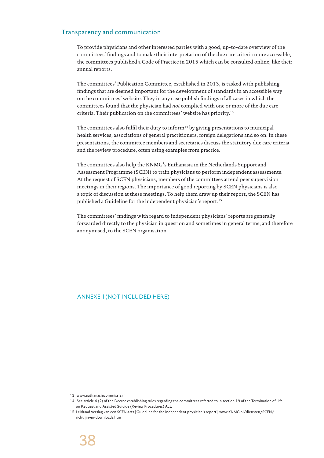#### Transparency and communication

To provide physicians and other interested parties with a good, up-to-date overview of the committees' findings and to make their interpretation of the due care criteria more accessible, the committees published a Code of Practice in 2015 which can be consulted online, like their annual reports.

The committees' Publication Committee, established in 2013, is tasked with publishing findings that are deemed important for the development of standards in an accessible way on the committees' website. They in any case publish findings of all cases in which the committees found that the physician had *not* complied with one or more of the due care criteria. Their publication on the committees' website has priority.13

The committees also fulfil their duty to inform<sup>14</sup> by giving presentations to municipal health services, associations of general practitioners, foreign delegations and so on. In these presentations, the committee members and secretaries discuss the statutory due care criteria and the review procedure, often using examples from practice.

The committees also help the KNMG's Euthanasia in the Netherlands Support and Assessment Programme (SCEN) to train physicians to perform independent assessments. At the request of SCEN physicians, members of the committees attend peer supervision meetings in their regions. The importance of good reporting by SCEN physicians is also a topic of discussion at these meetings. To help them draw up their report, the SCEN has published a Guideline for the independent physician's report.15

The committees' findings with regard to independent physicians' reports are generally forwarded directly to the physician in question and sometimes in general terms, and therefore anonymised, to the SCEN organisation.

ANNEXE 1(NOT INCLUDED HERE)

<sup>13</sup> www.euthanasiecommissie.nl

<sup>14</sup> See article 4 (2) of the Decree establishing rules regarding the committees referred to in section 19 of the Termination of Life on Request and Assisted Suicide (Review Procedures) Act.

<sup>15</sup> Leidraad Verslag van een SCEN-arts [Guideline for the independent physician's report], www.KNMG.nl/diensten/SCEN/ richtlijn-en-downloads.htm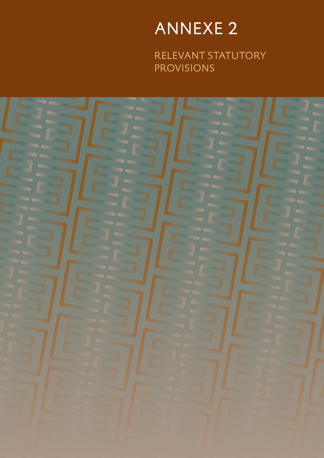# ANNEXE 2

RELEVANT STATUTORY PROVISIONS

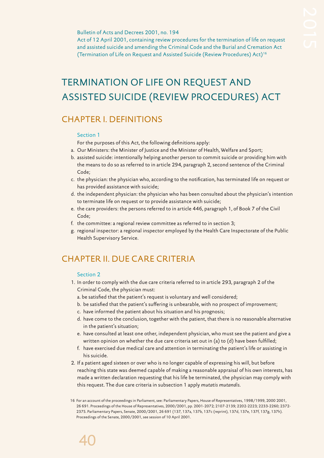#### Bulletin of Acts and Decrees 2001, no. 194

Act of 12 April 2001, containing review procedures for the termination of life on request and assisted suicide and amending the Criminal Code and the Burial and Cremation Act (Termination of Life on Request and Assisted Suicide (Review Procedures) Act)16

## TERMINATION OF LIFE ON REQUEST AND ASSISTED SUICIDE (REVIEW PROCEDURES) ACT

## CHAPTER I. DEFINITIONS

#### Section 1

- For the purposes of this Act, the following definitions apply:
- a. Our Ministers: the Minister of Justice and the Minister of Health, Welfare and Sport;
- b. assisted suicide: intentionally helping another person to commit suicide or providing him with the means to do so as referred to in article 294, paragraph 2, second sentence of the Criminal Code;
- c. the physician: the physician who, according to the notification, has terminated life on request or has provided assistance with suicide;
- d. the independent physician: the physician who has been consulted about the physician's intention to terminate life on request or to provide assistance with suicide;
- e. the care providers: the persons referred to in article 446, paragraph 1, of Book 7 of the Civil Code;
- f. the committee: a regional review committee as referred to in section 3;
- g. regional inspector: a regional inspector employed by the Health Care Inspectorate of the Public Health Supervisory Service.

## CHAPTER II. DUE CARE CRITERIA

#### Section 2

- 1. In order to comply with the due care criteria referred to in article 293, paragraph 2 of the Criminal Code, the physician must:
	- a. be satisfied that the patient's request is voluntary and well considered;
	- b. be satisfied that the patient's suffering is unbearable, with no prospect of improvement;
	- c. have informed the patient about his situation and his prognosis;
	- d. have come to the conclusion, together with the patient, that there is no reasonable alternative in the patient's situation;
	- e. have consulted at least one other, independent physician, who must see the patient and give a written opinion on whether the due care criteria set out in (a) to (d) have been fulfilled;
	- f. have exercised due medical care and attention in terminating the patient's life or assisting in his suicide.
- 2. If a patient aged sixteen or over who is no longer capable of expressing his will, but before reaching this state was deemed capable of making a reasonable appraisal of his own interests, has made a written declaration requesting that his life be terminated, the physician may comply with this request. The due care criteria in subsection 1 apply *mutatis mutandis*.

<sup>16</sup> For an account of the proceedings in Parliament, see: Parliamentary Papers, House of Representatives, 1998/1999, 2000 2001, 26 691. Proceedings of the House of Representatives, 2000/2001, pp. 2001-2072; 2107-2139; 2202-2223; 2233-2260; 2372- 2375. Parliamentary Papers, Senate, 2000/2001, 26 691 (137, 137a, 137b, 137c (reprint), 137d, 137e, 137f, 137g, 137h). Proceedings of the Senate, 2000/2001, see session of 10 April 2001.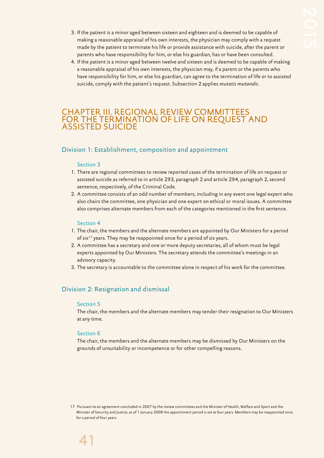- 3. If the patient is a minor aged between sixteen and eighteen and is deemed to be capable of making a reasonable appraisal of his own interests, the physician may comply with a request made by the patient to terminate his life or provide assistance with suicide, after the parent or parents who have responsibility for him, or else his guardian, has or have been consulted.
- 4. If the patient is a minor aged between twelve and sixteen and is deemed to be capable of making a reasonable appraisal of his own interests, the physician may, if a parent or the parents who have responsibility for him, or else his guardian, can agree to the termination of life or to assisted suicide, comply with the patient's request. Subsection 2 applies *mutatis mutandis*.

## CHAPTER III. REGIONAL REVIEW COMMITTEES FOR THE TERMINATION OF LIFE ON REQUEST AND ASSISTED SUICIDE

## Division 1: Establishment, composition and appointment

#### Section 3

- 1. There are regional committees to review reported cases of the termination of life on request or assisted suicide as referred to in article 293, paragraph 2 and article 294, paragraph 2, second sentence, respectively, of the Criminal Code.
- 2. A committee consists of an odd number of members, including in any event one legal expert who also chairs the committee, one physician and one expert on ethical or moral issues. A committee also comprises alternate members from each of the categories mentioned in the first sentence.

#### Section 4

- 1. The chair, the members and the alternate members are appointed by Our Ministers for a period of six<sup>17</sup> years. They may be reappointed once for a period of six years.
- 2. A committee has a secretary and one or more deputy secretaries, all of whom must be legal experts appointed by Our Ministers. The secretary attends the committee's meetings in an advisory capacity.
- 3. The secretary is accountable to the committee alone in respect of his work for the committee.

## Division 2: Resignation and dismissal

#### Section 5

The chair, the members and the alternate members may tender their resignation to Our Ministers at any time.

#### Section 6

The chair, the members and the alternate members may be dismissed by Our Ministers on the grounds of unsuitability or incompetence or for other compelling reasons.

17 Pursuant to an agreement concluded in 2007 by the review committees and the Minister of Health, Welfare and Sport and the Minister of Security and Justice, as of 1 January 2008 the appointment period is set at four years. Members may be reappointed once for a period of four years.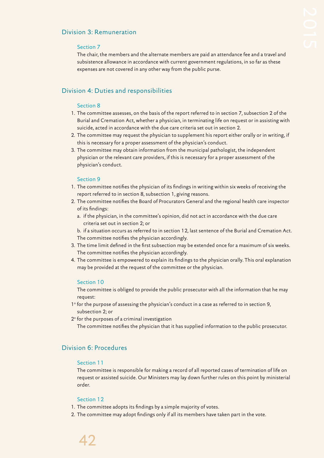## Division 3: Remuneration

## Section 7

The chair, the members and the alternate members are paid an attendance fee and a travel and subsistence allowance in accordance with current government regulations, in so far as these expenses are not covered in any other way from the public purse.

## Division 4: Duties and responsibilities

## Section 8

- 1. The committee assesses, on the basis of the report referred to in section 7, subsection 2 of the Burial and Cremation Act, whether a physician, in terminating life on request or in assisting with suicide, acted in accordance with the due care criteria set out in section 2.
- 2. The committee may request the physician to supplement his report either orally or in writing, if this is necessary for a proper assessment of the physician's conduct.
- 3. The committee may obtain information from the municipal pathologist, the independent physician or the relevant care providers, if this is necessary for a proper assessment of the physician's conduct.

## Section 9

- 1. The committee notifies the physician of its findings in writing within six weeks of receiving the report referred to in section 8, subsection 1, giving reasons.
- 2. The committee notifies the Board of Procurators General and the regional health care inspector of its findings:
	- a. if the physician, in the committee's opinion, did not act in accordance with the due care criteria set out in section 2; or

b. if a situation occurs as referred to in section 12, last sentence of the Burial and Cremation Act. The committee notifies the physician accordingly.

- 3. The time limit defined in the first subsection may be extended once for a maximum of six weeks. The committee notifies the physician accordingly.
- 4. The committee is empowered to explain its findings to the physician orally. This oral explanation may be provided at the request of the committee or the physician.

#### Section 10

The committee is obliged to provide the public prosecutor with all the information that he may request:

- 1° for the purpose of assessing the physician's conduct in a case as referred to in section 9, subsection 2; or
- 2° for the purposes of a criminal investigation

The committee notifies the physician that it has supplied information to the public prosecutor.

## Division 6: Procedures

#### Section 11

The committee is responsible for making a record of all reported cases of termination of life on request or assisted suicide. Our Ministers may lay down further rules on this point by ministerial order.

#### Section 12

- 1. The committee adopts its findings by a simple majority of votes.
- 2. The committee may adopt findings only if all its members have taken part in the vote.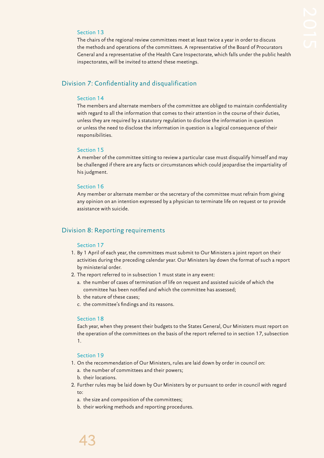## Section 13

The chairs of the regional review committees meet at least twice a year in order to discuss the methods and operations of the committees. A representative of the Board of Procurators General and a representative of the Health Care Inspectorate, which falls under the public health inspectorates, will be invited to attend these meetings.

## Division 7: Confidentiality and disqualification

#### Section 14

The members and alternate members of the committee are obliged to maintain confidentiality with regard to all the information that comes to their attention in the course of their duties, unless they are required by a statutory regulation to disclose the information in question or unless the need to disclose the information in question is a logical consequence of their responsibilities.

#### Section 15

A member of the committee sitting to review a particular case must disqualify himself and may be challenged if there are any facts or circumstances which could jeopardise the impartiality of his judgment.

#### Section 16

Any member or alternate member or the secretary of the committee must refrain from giving any opinion on an intention expressed by a physician to terminate life on request or to provide assistance with suicide.

## Division 8: Reporting requirements

#### Section 17

- 1. By 1 April of each year, the committees must submit to Our Ministers a joint report on their activities during the preceding calendar year. Our Ministers lay down the format of such a report by ministerial order.
- 2. The report referred to in subsection 1 must state in any event:
	- a. the number of cases of termination of life on request and assisted suicide of which the committee has been notified and which the committee has assessed;
	- b. the nature of these cases;
	- c. the committee's findings and its reasons.

#### Section 18

Each year, when they present their budgets to the States General, Our Ministers must report on the operation of the committees on the basis of the report referred to in section 17, subsection 1.

#### Section 19

- 1. On the recommendation of Our Ministers, rules are laid down by order in council on:
	- a. the number of committees and their powers;
	- b. their locations.
- 2. Further rules may be laid down by Our Ministers by or pursuant to order in council with regard to:
	- a. the size and composition of the committees;
	- b. their working methods and reporting procedures.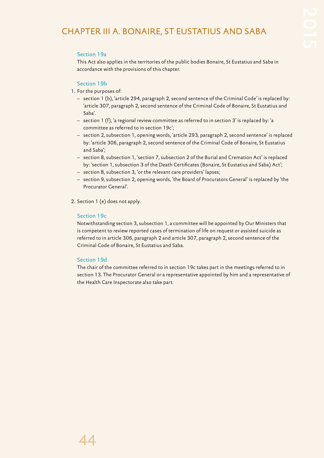## CHAPTER III A. BONAIRE, ST EUSTATIUS AND SABA

## Section 19a

This Act also applies in the territories of the public bodies Bonaire, St Eustatius and Saba in accordance with the provisions of this chapter.

## Section 19b

- 1. For the purposes of:
	- section 1 (b), 'article 294, paragraph 2, second sentence of the Criminal Code' is replaced by: 'article 307, paragraph 2, second sentence of the Criminal Code of Bonaire, St Eustatius and Saba'.
	- section 1 (f), 'a regional review committee as referred to in section 3' is replaced by: 'a committee as referred to in section 19c';
	- section 2, subsection 1, opening words, 'article 293, paragraph 2, second sentence' is replaced by: 'article 306, paragraph 2, second sentence of the Criminal Code of Bonaire, St Eustatius and Saba';
	- section 8, subsection 1, 'section 7, subsection 2 of the Burial and Cremation Act' is replaced by: 'section 1, subsection 3 of the Death Certificates (Bonaire, St Eustatius and Saba) Act';
	- section 8, subsection 3, 'or the relevant care providers' lapses;
	- section 9, subsection 2, opening words, 'the Board of Procurators General' is replaced by 'the Procurator General'.
- 2. Section 1 (e) does not apply.

## Section 19c

Notwithstanding section 3, subsection 1, a committee will be appointed by Our Ministers that is competent to review reported cases of termination of life on request or assisted suicide as referred to in article 306, paragraph 2 and article 307, paragraph 2, second sentence of the Criminal Code of Bonaire, St Eustatius and Saba.

## Section 19d

The chair of the committee referred to in section 19c takes part in the meetings referred to in section 13. The Procurator General or a representative appointed by him and a representative of the Health Care Inspectorate also take part.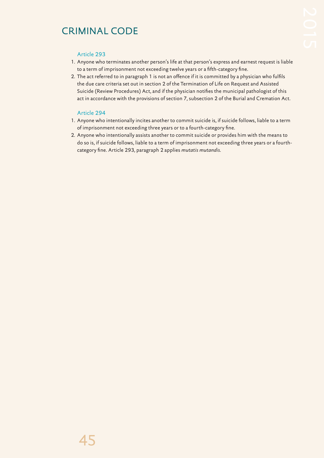## CRIMINAL CODE

## Article 293

- 1. Anyone who terminates another person's life at that person's express and earnest request is liable to a term of imprisonment not exceeding twelve years or a fifth-category fine.
- 2. The act referred to in paragraph 1 is not an offence if it is committed by a physician who fulfils the due care criteria set out in section 2 of the Termination of Life on Request and Assisted Suicide (Review Procedures) Act, and if the physician notifies the municipal pathologist of this act in accordance with the provisions of section 7, subsection 2 of the Burial and Cremation Act.

## Article 294

- 1. Anyone who intentionally incites another to commit suicide is, if suicide follows, liable to a term of imprisonment not exceeding three years or to a fourth-category fine.
- 2. Anyone who intentionally assists another to commit suicide or provides him with the means to do so is, if suicide follows, liable to a term of imprisonment not exceeding three years or a fourthcategory fine. Article 293, paragraph 2 applies *mutatis mutandis*.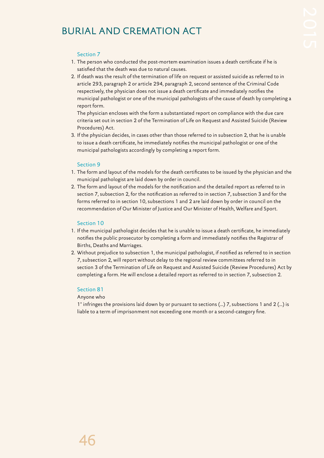## BURIAL AND CREMATION ACT

## Section 7

- 1. The person who conducted the post-mortem examination issues a death certificate if he is satisfied that the death was due to natural causes.
- 2. If death was the result of the termination of life on request or assisted suicide as referred to in article 293, paragraph 2 or article 294, paragraph 2, second sentence of the Criminal Code respectively, the physician does not issue a death certificate and immediately notifies the municipal pathologist or one of the municipal pathologists of the cause of death by completing a report form.

The physician encloses with the form a substantiated report on compliance with the due care criteria set out in section 2 of the Termination of Life on Request and Assisted Suicide (Review Procedures) Act.

3. If the physician decides, in cases other than those referred to in subsection 2, that he is unable to issue a death certificate, he immediately notifies the municipal pathologist or one of the municipal pathologists accordingly by completing a report form.

#### Section 9

- 1. The form and layout of the models for the death certificates to be issued by the physician and the municipal pathologist are laid down by order in council.
- 2. The form and layout of the models for the notification and the detailed report as referred to in section 7, subsection 2, for the notification as referred to in section 7, subsection 3 and for the forms referred to in section 10, subsections 1 and 2 are laid down by order in council on the recommendation of Our Minister of Justice and Our Minister of Health, Welfare and Sport.

#### Section 10

- 1. If the municipal pathologist decides that he is unable to issue a death certificate, he immediately notifies the public prosecutor by completing a form and immediately notifies the Registrar of Births, Deaths and Marriages.
- 2. Without prejudice to subsection 1, the municipal pathologist, if notified as referred to in section 7, subsection 2, will report without delay to the regional review committees referred to in section 3 of the Termination of Life on Request and Assisted Suicide (Review Procedures) Act by completing a form. He will enclose a detailed report as referred to in section 7, subsection 2.

#### Section 81

#### Anyone who

1° infringes the provisions laid down by or pursuant to sections (...) 7, subsections 1 and 2 (...) is liable to a term of imprisonment not exceeding one month or a second-category fine.